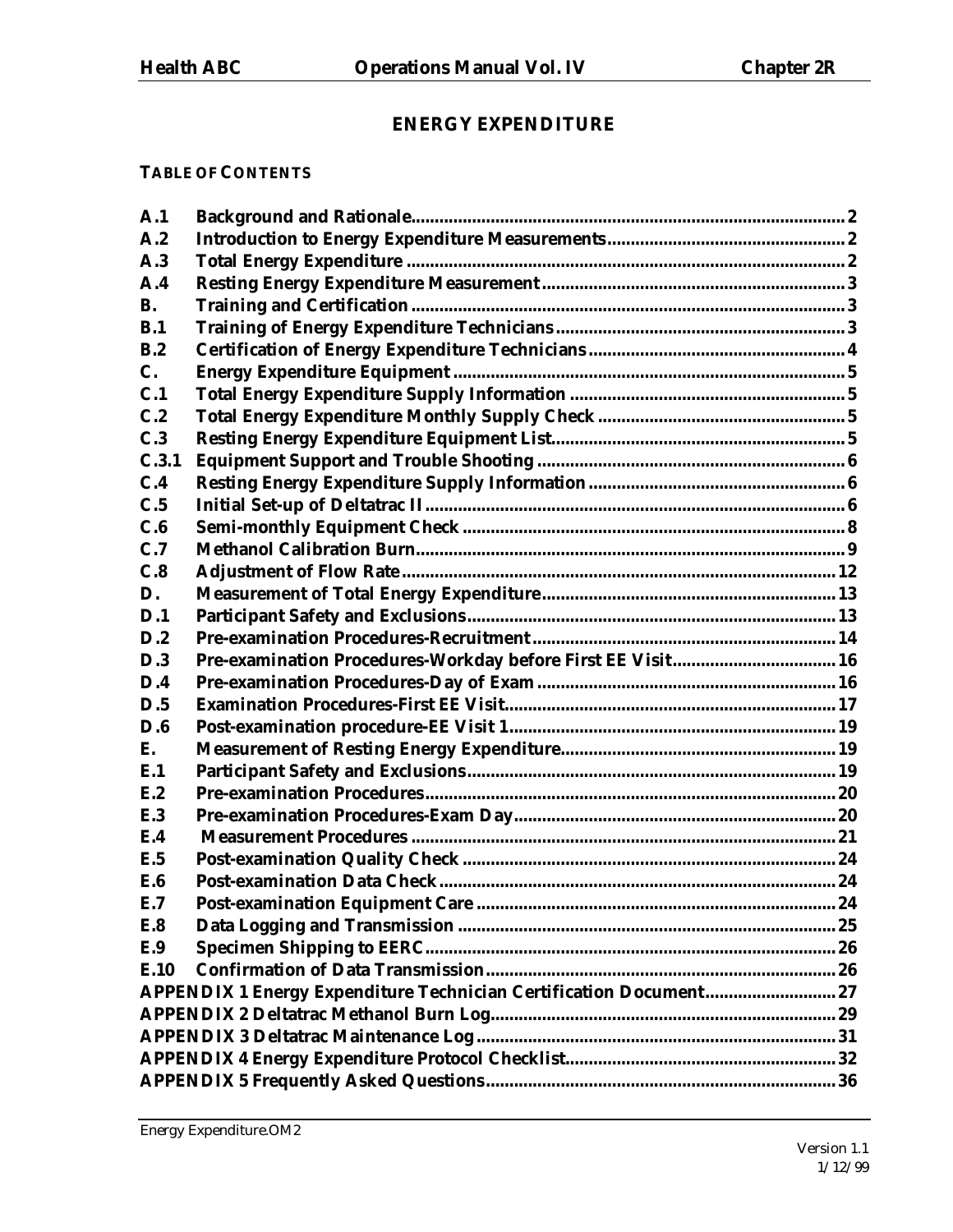# **ENERGY EXPENDITURE**

# **TABLE OF CONTENTS**

| A.1        |                                                                    |  |  |  |  |
|------------|--------------------------------------------------------------------|--|--|--|--|
| A.2        |                                                                    |  |  |  |  |
| A.3        |                                                                    |  |  |  |  |
| A.4        |                                                                    |  |  |  |  |
| <b>B.</b>  |                                                                    |  |  |  |  |
| B.1        |                                                                    |  |  |  |  |
| B.2        |                                                                    |  |  |  |  |
| C.         |                                                                    |  |  |  |  |
| C.1        |                                                                    |  |  |  |  |
| C.2        |                                                                    |  |  |  |  |
| C.3        |                                                                    |  |  |  |  |
| C.3.1      |                                                                    |  |  |  |  |
| C.4        |                                                                    |  |  |  |  |
| C.5        |                                                                    |  |  |  |  |
| C.6        |                                                                    |  |  |  |  |
| C.7        |                                                                    |  |  |  |  |
| C.8        |                                                                    |  |  |  |  |
| D.         |                                                                    |  |  |  |  |
| D.1        |                                                                    |  |  |  |  |
| D.2        |                                                                    |  |  |  |  |
| D.3        | Pre-examination Procedures-Workday before First EE Visit 16        |  |  |  |  |
| D.4        |                                                                    |  |  |  |  |
| D.5        |                                                                    |  |  |  |  |
| D.6        |                                                                    |  |  |  |  |
| E.         |                                                                    |  |  |  |  |
| E.1        |                                                                    |  |  |  |  |
| E.2        |                                                                    |  |  |  |  |
| E.3        |                                                                    |  |  |  |  |
| E.4        |                                                                    |  |  |  |  |
| E.5        |                                                                    |  |  |  |  |
| <b>E.6</b> |                                                                    |  |  |  |  |
| E.7        |                                                                    |  |  |  |  |
| <b>E.8</b> |                                                                    |  |  |  |  |
| E.9        |                                                                    |  |  |  |  |
| E.10       |                                                                    |  |  |  |  |
|            | APPENDIX 1 Energy Expenditure Technician Certification Document 27 |  |  |  |  |
|            |                                                                    |  |  |  |  |
|            |                                                                    |  |  |  |  |
|            |                                                                    |  |  |  |  |
|            |                                                                    |  |  |  |  |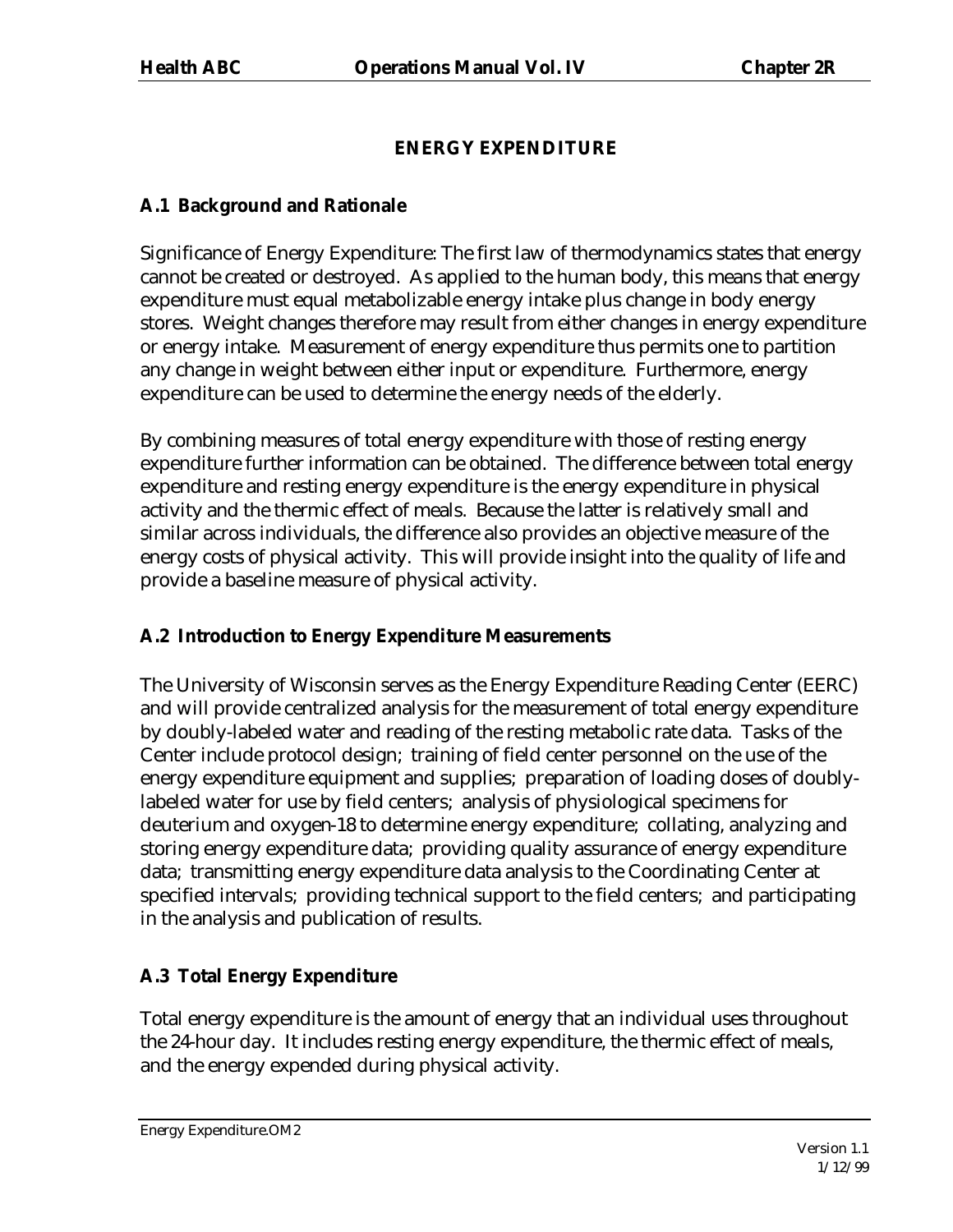# **ENERGY EXPENDITURE**

# **A.1 Background and Rationale**

Significance of Energy Expenditure: The first law of thermodynamics states that energy cannot be created or destroyed. As applied to the human body, this means that energy expenditure must equal metabolizable energy intake plus change in body energy stores. Weight changes therefore may result from either changes in energy expenditure or energy intake. Measurement of energy expenditure thus permits one to partition any change in weight between either input or expenditure. Furthermore, energy expenditure can be used to determine the energy needs of the elderly.

By combining measures of total energy expenditure with those of resting energy expenditure further information can be obtained. The difference between total energy expenditure and resting energy expenditure is the energy expenditure in physical activity and the thermic effect of meals. Because the latter is relatively small and similar across individuals, the difference also provides an objective measure of the energy costs of physical activity. This will provide insight into the quality of life and provide a baseline measure of physical activity.

# **A.2 Introduction to Energy Expenditure Measurements**

The University of Wisconsin serves as the Energy Expenditure Reading Center (EERC) and will provide centralized analysis for the measurement of total energy expenditure by doubly-labeled water and reading of the resting metabolic rate data. Tasks of the Center include protocol design; training of field center personnel on the use of the energy expenditure equipment and supplies; preparation of loading doses of doublylabeled water for use by field centers; analysis of physiological specimens for deuterium and oxygen-18 to determine energy expenditure; collating, analyzing and storing energy expenditure data; providing quality assurance of energy expenditure data; transmitting energy expenditure data analysis to the Coordinating Center at specified intervals; providing technical support to the field centers; and participating in the analysis and publication of results.

# **A.3 Total Energy Expenditure**

Total energy expenditure is the amount of energy that an individual uses throughout the 24-hour day. It includes resting energy expenditure, the thermic effect of meals, and the energy expended during physical activity.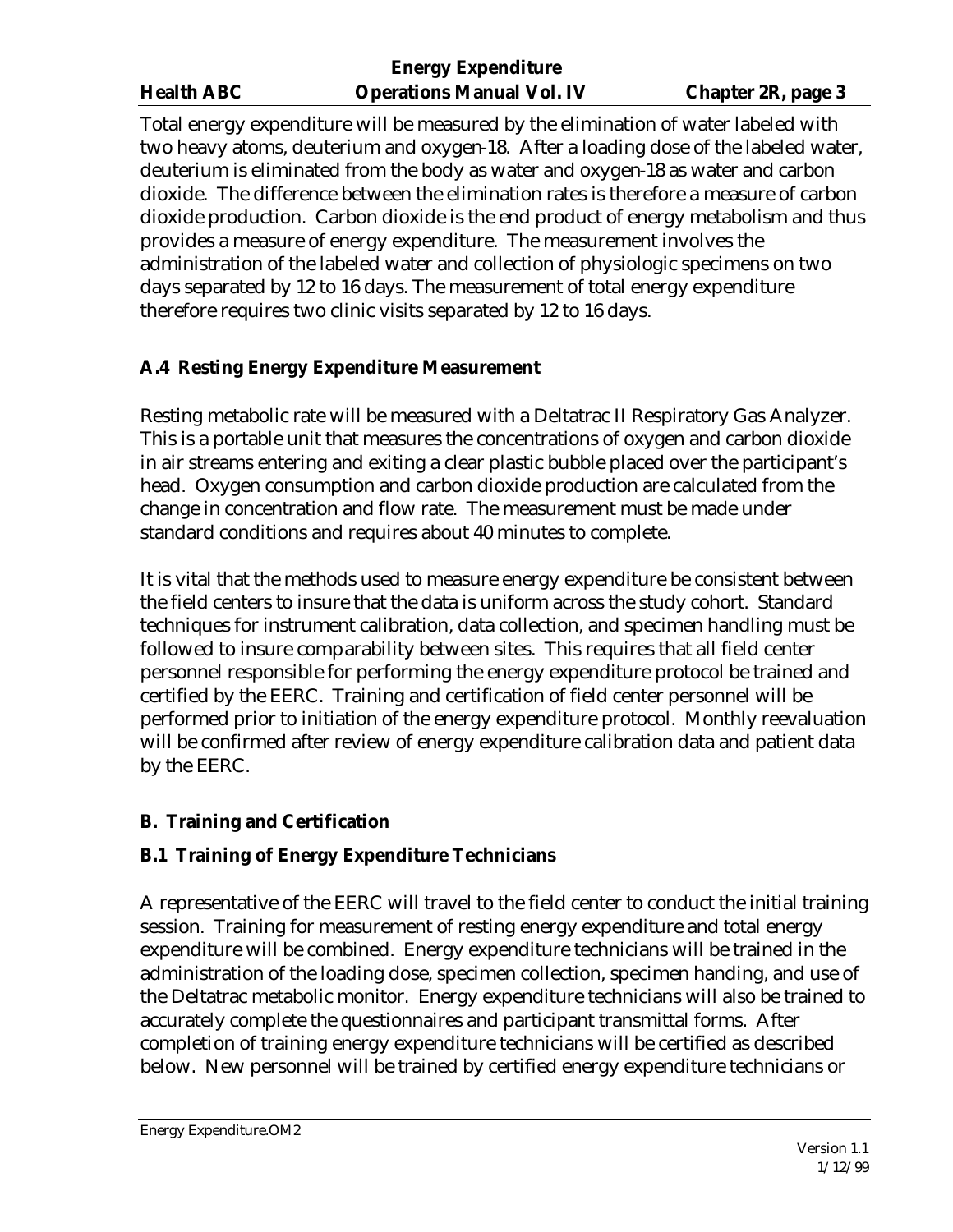Total energy expenditure will be measured by the elimination of water labeled with two heavy atoms, deuterium and oxygen-18. After a loading dose of the labeled water, deuterium is eliminated from the body as water and oxygen-18 as water and carbon dioxide. The difference between the elimination rates is therefore a measure of carbon dioxide production. Carbon dioxide is the end product of energy metabolism and thus provides a measure of energy expenditure. The measurement involves the administration of the labeled water and collection of physiologic specimens on two days separated by 12 to 16 days. The measurement of total energy expenditure therefore requires two clinic visits separated by 12 to 16 days.

# **A.4 Resting Energy Expenditure Measurement**

Resting metabolic rate will be measured with a Deltatrac II Respiratory Gas Analyzer. This is a portable unit that measures the concentrations of oxygen and carbon dioxide in air streams entering and exiting a clear plastic bubble placed over the participant's head. Oxygen consumption and carbon dioxide production are calculated from the change in concentration and flow rate. The measurement must be made under standard conditions and requires about 40 minutes to complete.

It is vital that the methods used to measure energy expenditure be consistent between the field centers to insure that the data is uniform across the study cohort. Standard techniques for instrument calibration, data collection, and specimen handling must be followed to insure comparability between sites. This requires that all field center personnel responsible for performing the energy expenditure protocol be trained and certified by the EERC. Training and certification of field center personnel will be performed prior to initiation of the energy expenditure protocol. Monthly reevaluation will be confirmed after review of energy expenditure calibration data and patient data by the EERC.

# **B. Training and Certification**

# **B.1 Training of Energy Expenditure Technicians**

A representative of the EERC will travel to the field center to conduct the initial training session. Training for measurement of resting energy expenditure and total energy expenditure will be combined. Energy expenditure technicians will be trained in the administration of the loading dose, specimen collection, specimen handing, and use of the Deltatrac metabolic monitor. Energy expenditure technicians will also be trained to accurately complete the questionnaires and participant transmittal forms. After completion of training energy expenditure technicians will be certified as described below. New personnel will be trained by certified energy expenditure technicians or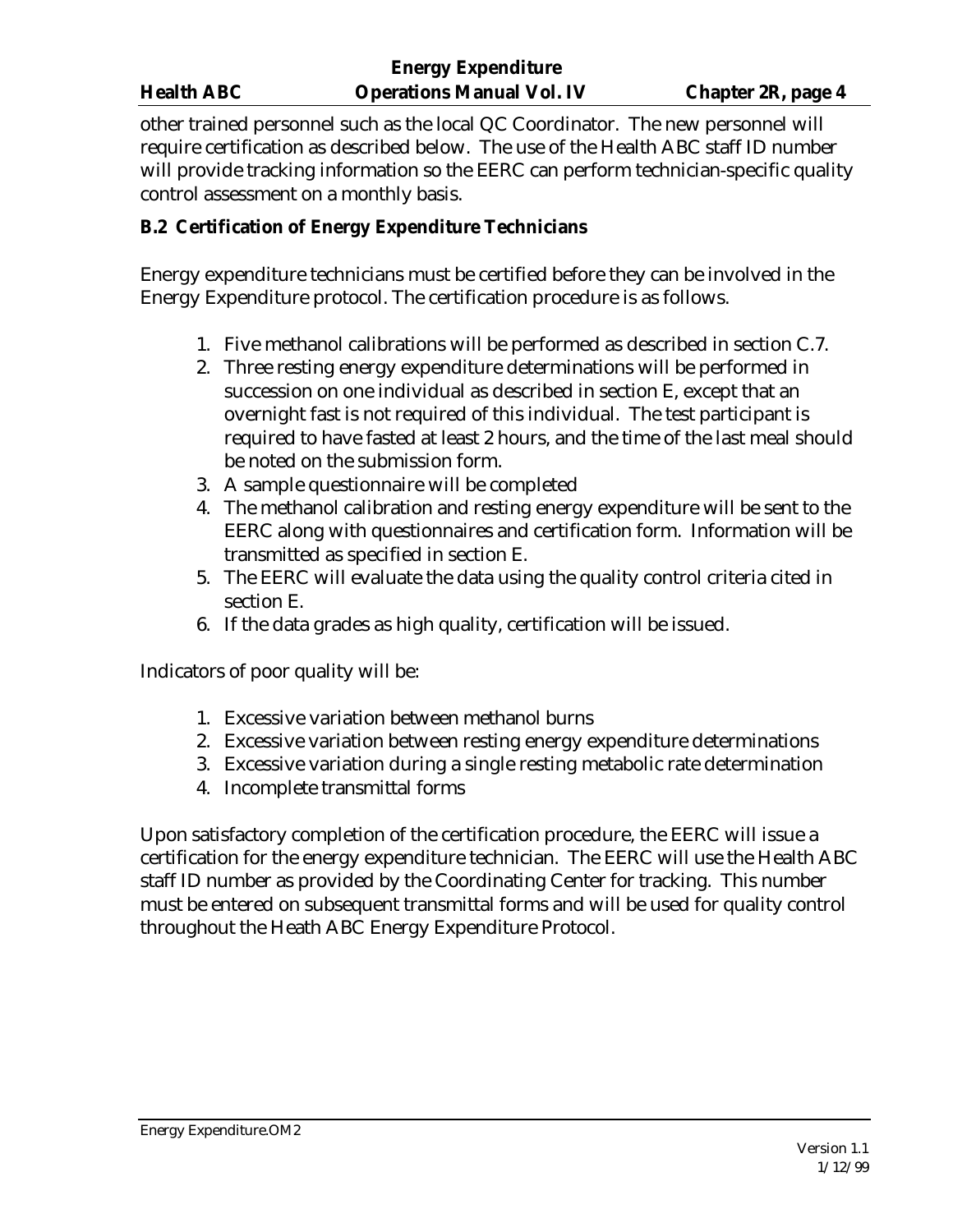|                   | <b>Energy Expenditure</b>        |                    |
|-------------------|----------------------------------|--------------------|
| <b>Health ABC</b> | <b>Operations Manual Vol. IV</b> | Chapter 2R, page 4 |

other trained personnel such as the local QC Coordinator. The new personnel will require certification as described below. The use of the Health ABC staff ID number will provide tracking information so the EERC can perform technician-specific quality control assessment on a monthly basis.

## **B.2 Certification of Energy Expenditure Technicians**

Energy expenditure technicians must be certified before they can be involved in the Energy Expenditure protocol. The certification procedure is as follows.

- 1. Five methanol calibrations will be performed as described in section C.7.
- 2. Three resting energy expenditure determinations will be performed in succession on one individual as described in section E, except that an overnight fast is not required of this individual. The test participant is required to have fasted at least 2 hours, and the time of the last meal should be noted on the submission form.
- 3. A sample questionnaire will be completed
- 4. The methanol calibration and resting energy expenditure will be sent to the EERC along with questionnaires and certification form. Information will be transmitted as specified in section E.
- 5. The EERC will evaluate the data using the quality control criteria cited in section E.
- 6. If the data grades as high quality, certification will be issued.

Indicators of poor quality will be:

- 1. Excessive variation between methanol burns
- 2. Excessive variation between resting energy expenditure determinations
- 3. Excessive variation during a single resting metabolic rate determination
- 4. Incomplete transmittal forms

Upon satisfactory completion of the certification procedure, the EERC will issue a certification for the energy expenditure technician. The EERC will use the Health ABC staff ID number as provided by the Coordinating Center for tracking. This number must be entered on subsequent transmittal forms and will be used for quality control throughout the Heath ABC Energy Expenditure Protocol.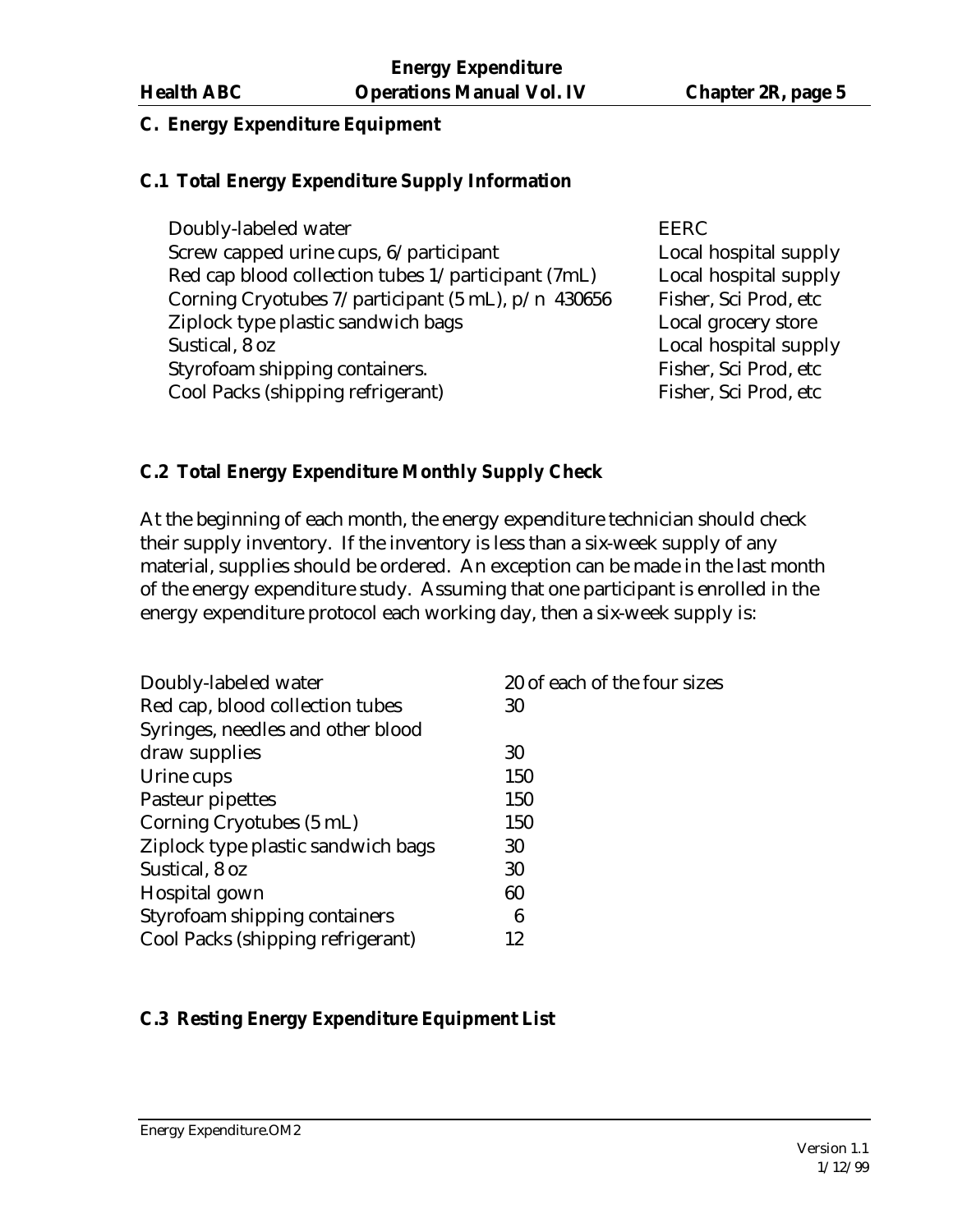# **C. Energy Expenditure Equipment**

## **C.1 Total Energy Expenditure Supply Information**

Doubly-labeled water EERC Screw capped urine cups,  $6/$  participant Local hospital supply Red cap blood collection tubes 1/participant (7mL) Local hospital supply Corning Cryotubes  $7$ /participant (5 mL),  $p/n$  430656 Fisher, Sci Prod, etc Ziplock type plastic sandwich bags Local grocery store Sustical, 8 oz  $\log$ Styrofoam shipping containers. Fisher, Sci Prod, etc Cool Packs (shipping refrigerant) Fisher, Sci Prod, etc

## **C.2 Total Energy Expenditure Monthly Supply Check**

At the beginning of each month, the energy expenditure technician should check their supply inventory. If the inventory is less than a six-week supply of any material, supplies should be ordered. An exception can be made in the last month of the energy expenditure study. Assuming that one participant is enrolled in the energy expenditure protocol each working day, then a six-week supply is:

| Doubly-labeled water               | 20 of each of the four sizes |
|------------------------------------|------------------------------|
| Red cap, blood collection tubes    | 30                           |
| Syringes, needles and other blood  |                              |
| draw supplies                      | 30                           |
| Urine cups                         | 150                          |
| Pasteur pipettes                   | 150                          |
| Corning Cryotubes (5 mL)           | 150                          |
| Ziplock type plastic sandwich bags | 30                           |
| Sustical, 8 oz                     | 30                           |
| Hospital gown                      | 60                           |
| Styrofoam shipping containers      | 6                            |
| Cool Packs (shipping refrigerant)  | 12                           |

# **C.3 Resting Energy Expenditure Equipment List**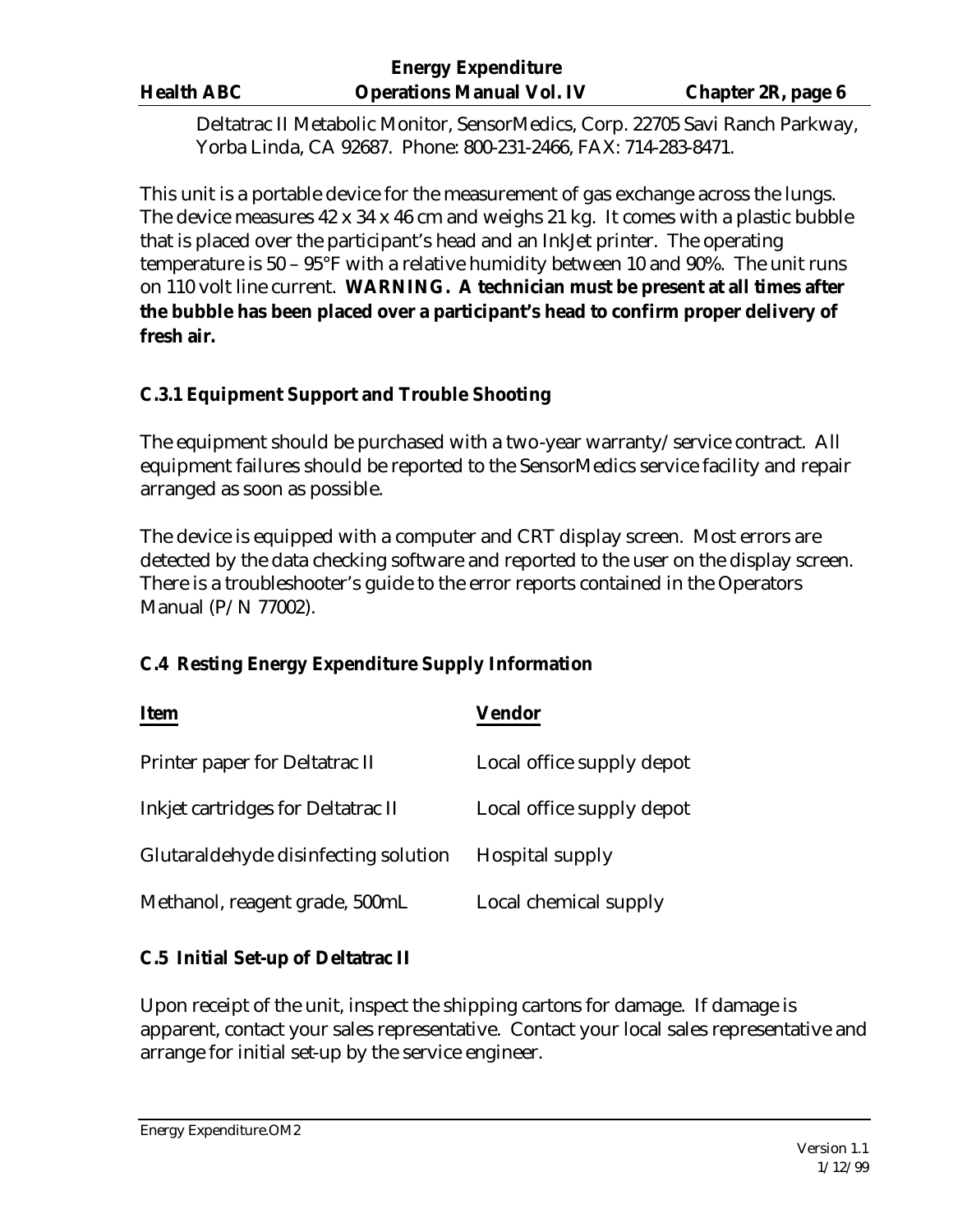Deltatrac II Metabolic Monitor, SensorMedics, Corp. 22705 Savi Ranch Parkway, Yorba Linda, CA 92687. Phone: 800-231-2466, FAX: 714-283-8471.

This unit is a portable device for the measurement of gas exchange across the lungs. The device measures 42 x 34 x 46 cm and weighs 21 kg. It comes with a plastic bubble that is placed over the participant's head and an InkJet printer. The operating temperature is 50 – 95°F with a relative humidity between 10 and 90%. The unit runs on 110 volt line current. **WARNING. A technician must be present at all times after the bubble has been placed over a participant's head to confirm proper delivery of fresh air.** 

## **C.3.1 Equipment Support and Trouble Shooting**

The equipment should be purchased with a two-year warranty/service contract. All equipment failures should be reported to the SensorMedics service facility and repair arranged as soon as possible.

The device is equipped with a computer and CRT display screen. Most errors are detected by the data checking software and reported to the user on the display screen. There is a troubleshooter's guide to the error reports contained in the Operators Manual (P/N 77002).

# **C.4 Resting Energy Expenditure Supply Information**

| <b>Item</b>                          | Vendor                    |
|--------------------------------------|---------------------------|
| Printer paper for Deltatrac II       | Local office supply depot |
| Inkjet cartridges for Deltatrac II   | Local office supply depot |
| Glutaraldehyde disinfecting solution | <b>Hospital supply</b>    |
| Methanol, reagent grade, 500mL       | Local chemical supply     |

### **C.5 Initial Set-up of Deltatrac II**

Upon receipt of the unit, inspect the shipping cartons for damage. If damage is apparent, contact your sales representative. Contact your local sales representative and arrange for initial set-up by the service engineer.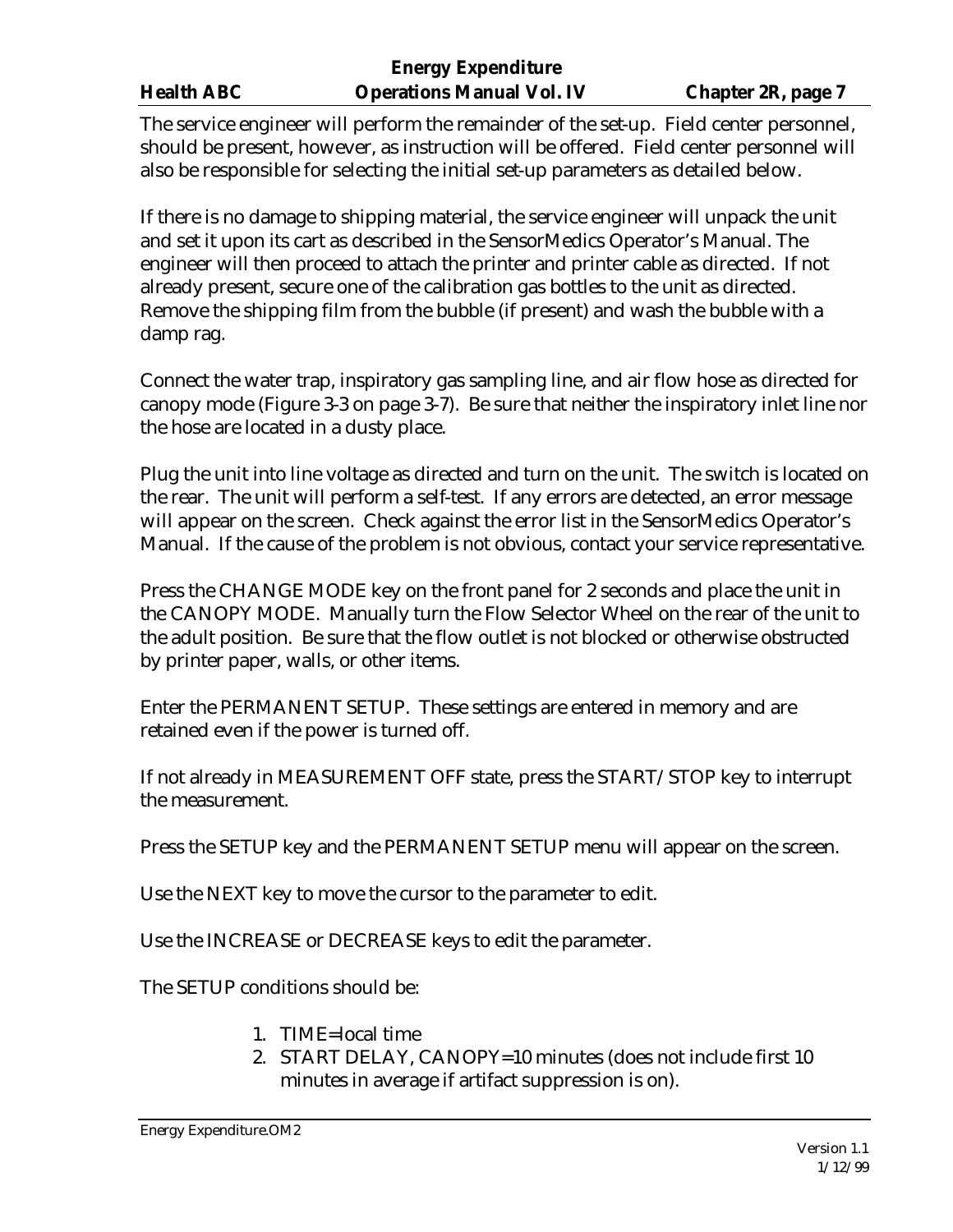The service engineer will perform the remainder of the set-up. Field center personnel, should be present, however, as instruction will be offered. Field center personnel will also be responsible for selecting the initial set-up parameters as detailed below.

If there is no damage to shipping material, the service engineer will unpack the unit and set it upon its cart as described in the SensorMedics Operator's Manual. The engineer will then proceed to attach the printer and printer cable as directed. If not already present, secure one of the calibration gas bottles to the unit as directed. Remove the shipping film from the bubble (if present) and wash the bubble with a damp rag.

Connect the water trap, inspiratory gas sampling line, and air flow hose as directed for canopy mode (Figure 3-3 on page 3-7). Be sure that neither the inspiratory inlet line nor the hose are located in a dusty place.

Plug the unit into line voltage as directed and turn on the unit. The switch is located on the rear. The unit will perform a self-test. If any errors are detected, an error message will appear on the screen. Check against the error list in the SensorMedics Operator's Manual. If the cause of the problem is not obvious, contact your service representative.

Press the CHANGE MODE key on the front panel for 2 seconds and place the unit in the CANOPY MODE. Manually turn the Flow Selector Wheel on the rear of the unit to the adult position. Be sure that the flow outlet is not blocked or otherwise obstructed by printer paper, walls, or other items.

Enter the PERMANENT SETUP. These settings are entered in memory and are retained even if the power is turned off.

If not already in MEASUREMENT OFF state, press the START/STOP key to interrupt the measurement.

Press the SETUP key and the PERMANENT SETUP menu will appear on the screen.

Use the NEXT key to move the cursor to the parameter to edit.

Use the INCREASE or DECREASE keys to edit the parameter.

The SETUP conditions should be:

- 1. TIME=local time
- 2. START DELAY, CANOPY=10 minutes (does not include first 10 minutes in average if artifact suppression is on).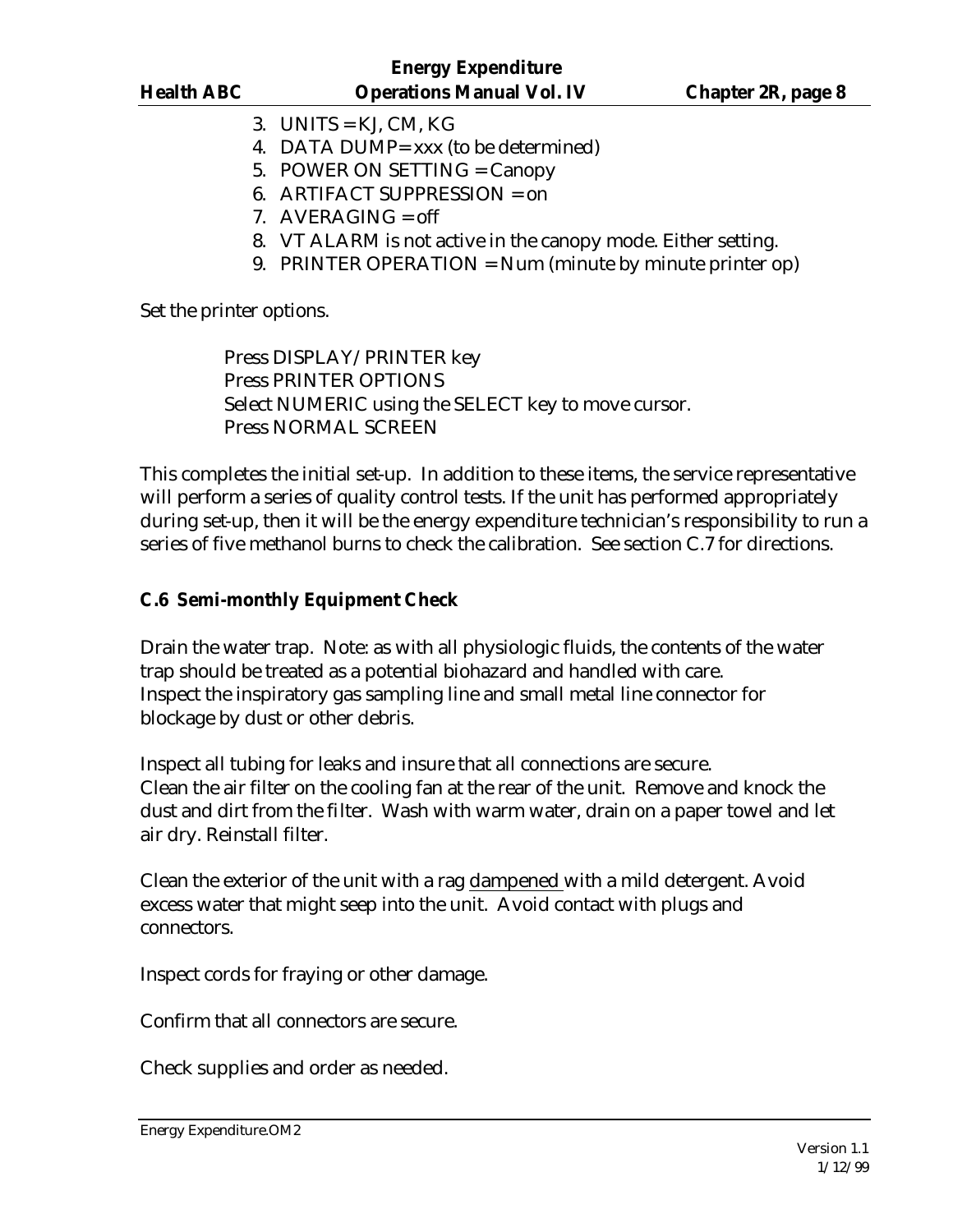- 3. UNITS =  $KJ$ , CM,  $KG$
- 4. DATA DUMP= xxx (to be determined)
- 5. POWER ON SETTING = Canopy
- 6. ARTIFACT SUPPRESSION = on
- 7. AVERAGING  $=$  off
- 8. VT ALARM is not active in the canopy mode. Either setting.
- 9. PRINTER OPERATION = Num (minute by minute printer op)

Set the printer options.

Press DISPLAY/PRINTER key Press PRINTER OPTIONS Select NUMERIC using the SELECT key to move cursor. Press NORMAL SCREEN

This completes the initial set-up. In addition to these items, the service representative will perform a series of quality control tests. If the unit has performed appropriately during set-up, then it will be the energy expenditure technician's responsibility to run a series of five methanol burns to check the calibration. See section C.7 for directions.

### **C.6 Semi-monthly Equipment Check**

Drain the water trap. Note: as with all physiologic fluids, the contents of the water trap should be treated as a potential biohazard and handled with care. Inspect the inspiratory gas sampling line and small metal line connector for blockage by dust or other debris.

Inspect all tubing for leaks and insure that all connections are secure. Clean the air filter on the cooling fan at the rear of the unit. Remove and knock the dust and dirt from the filter. Wash with warm water, drain on a paper towel and let air dry. Reinstall filter.

Clean the exterior of the unit with a rag dampened with a mild detergent. Avoid excess water that might seep into the unit. Avoid contact with plugs and connectors.

Inspect cords for fraying or other damage.

Confirm that all connectors are secure.

Check supplies and order as needed.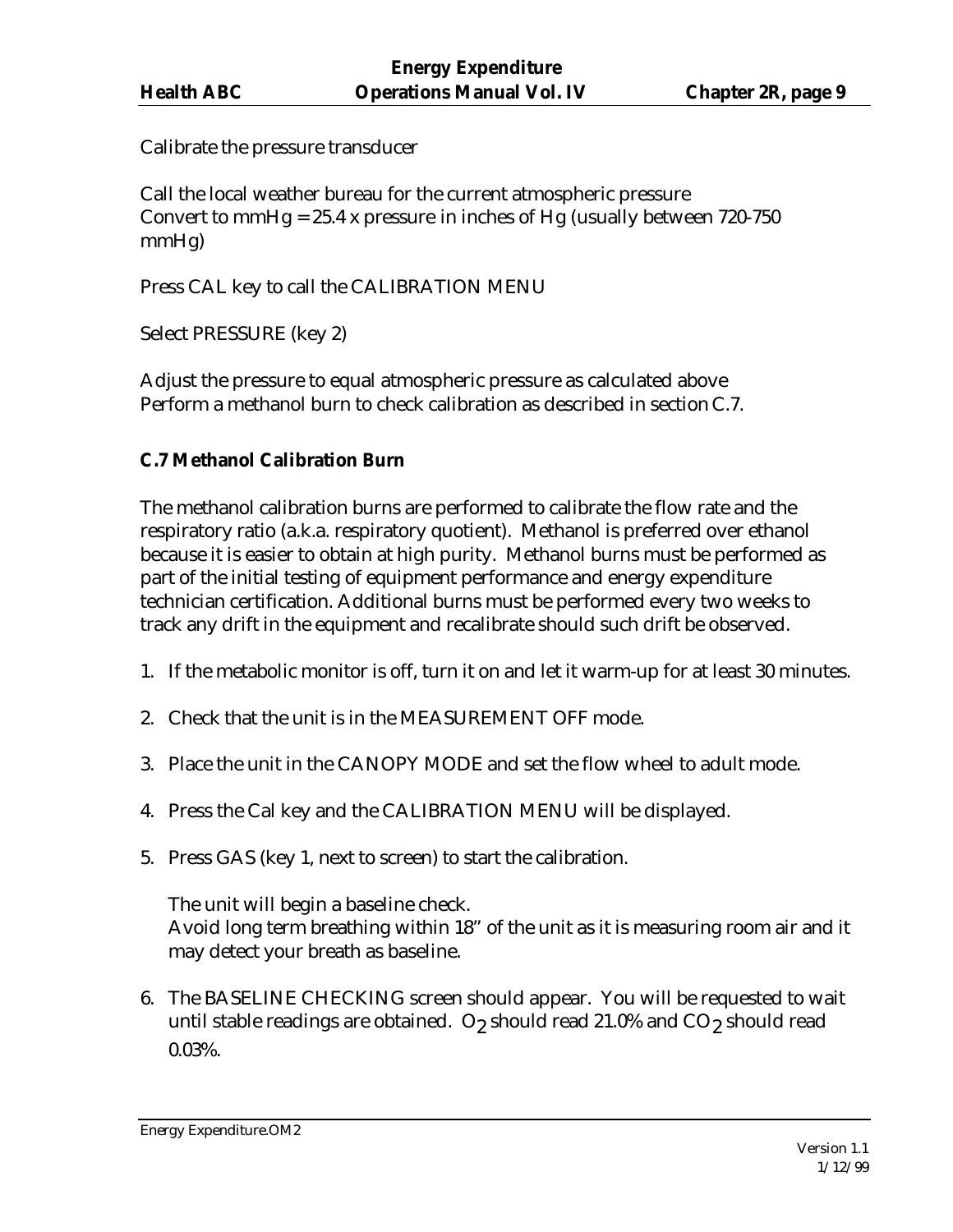Calibrate the pressure transducer

Call the local weather bureau for the current atmospheric pressure Convert to mmHg =  $25.4$  x pressure in inches of Hg (usually between 720-750 mmHg)

Press CAL key to call the CALIBRATION MENU

Select PRESSURE (key 2)

Adjust the pressure to equal atmospheric pressure as calculated above Perform a methanol burn to check calibration as described in section C.7.

# **C.7 Methanol Calibration Burn**

The methanol calibration burns are performed to calibrate the flow rate and the respiratory ratio (a.k.a. respiratory quotient). Methanol is preferred over ethanol because it is easier to obtain at high purity. Methanol burns must be performed as part of the initial testing of equipment performance and energy expenditure technician certification. Additional burns must be performed every two weeks to track any drift in the equipment and recalibrate should such drift be observed.

- 1. If the metabolic monitor is off, turn it on and let it warm-up for at least 30 minutes.
- 2. Check that the unit is in the MEASUREMENT OFF mode.
- 3. Place the unit in the CANOPY MODE and set the flow wheel to adult mode.
- 4. Press the Cal key and the CALIBRATION MENU will be displayed.
- 5. Press GAS (key 1, next to screen) to start the calibration.

The unit will begin a baseline check. Avoid long term breathing within 18" of the unit as it is measuring room air and it may detect your breath as baseline.

6. The BASELINE CHECKING screen should appear. You will be requested to wait until stable readings are obtained.  $\rm O_2$  should read 21.0% and CO $_2$  should read 0.03%.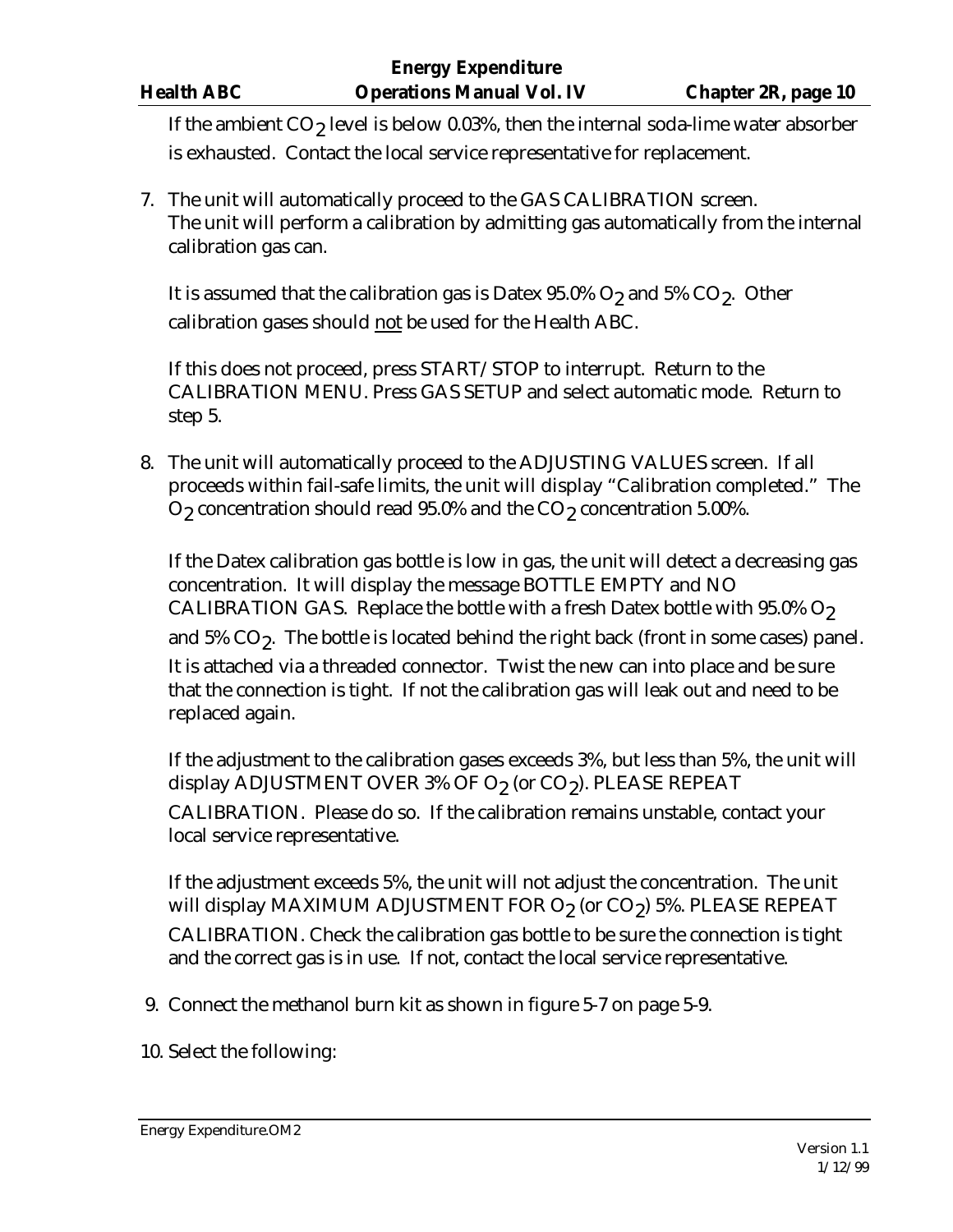If the ambient  $\mathrm{CO}_2$  level is below 0.03%, then the internal soda-lime water absorber is exhausted. Contact the local service representative for replacement.

7. The unit will automatically proceed to the GAS CALIBRATION screen. The unit will perform a calibration by admitting gas automatically from the internal calibration gas can.

It is assumed that the calibration gas is Datex 95.0%  $\mathrm{O}_2$  and 5%  $\mathrm{CO}_2$ . Other calibration gases should not be used for the Health ABC.

If this does not proceed, press START/STOP to interrupt. Return to the CALIBRATION MENU. Press GAS SETUP and select automatic mode. Return to step 5.

8. The unit will automatically proceed to the ADJUSTING VALUES screen. If all proceeds within fail-safe limits, the unit will display "Calibration completed." The  $\mathrm{O}_2$  concentration should read 95.0% and the  $\mathrm{CO}_2$  concentration 5.00%.

If the Datex calibration gas bottle is low in gas, the unit will detect a decreasing gas concentration. It will display the message BOTTLE EMPTY and NO CALIBRATION GAS. Replace the bottle with a fresh Datex bottle with  $95.0\%$  O<sub>2</sub> and 5% CO<sub>2</sub>. The bottle is located behind the right back (front in some cases) panel. It is attached via a threaded connector. Twist the new can into place and be sure that the connection is tight. If not the calibration gas will leak out and need to be replaced again.

If the adjustment to the calibration gases exceeds 3%, but less than 5%, the unit will display ADJUSTMENT OVER 3% OF O $_{2}$  (or CO $_{2}$ ). PLEASE REPEAT CALIBRATION. Please do so. If the calibration remains unstable, contact your local service representative.

If the adjustment exceeds 5%, the unit will not adjust the concentration. The unit will display MAXIMUM ADJUSTMENT FOR O $_{2}$  (or CO $_{2}$ ) 5%. PLEASE REPEAT CALIBRATION. Check the calibration gas bottle to be sure the connection is tight and the correct gas is in use. If not, contact the local service representative.

- 9. Connect the methanol burn kit as shown in figure 5-7 on page 5-9.
- 10. Select the following: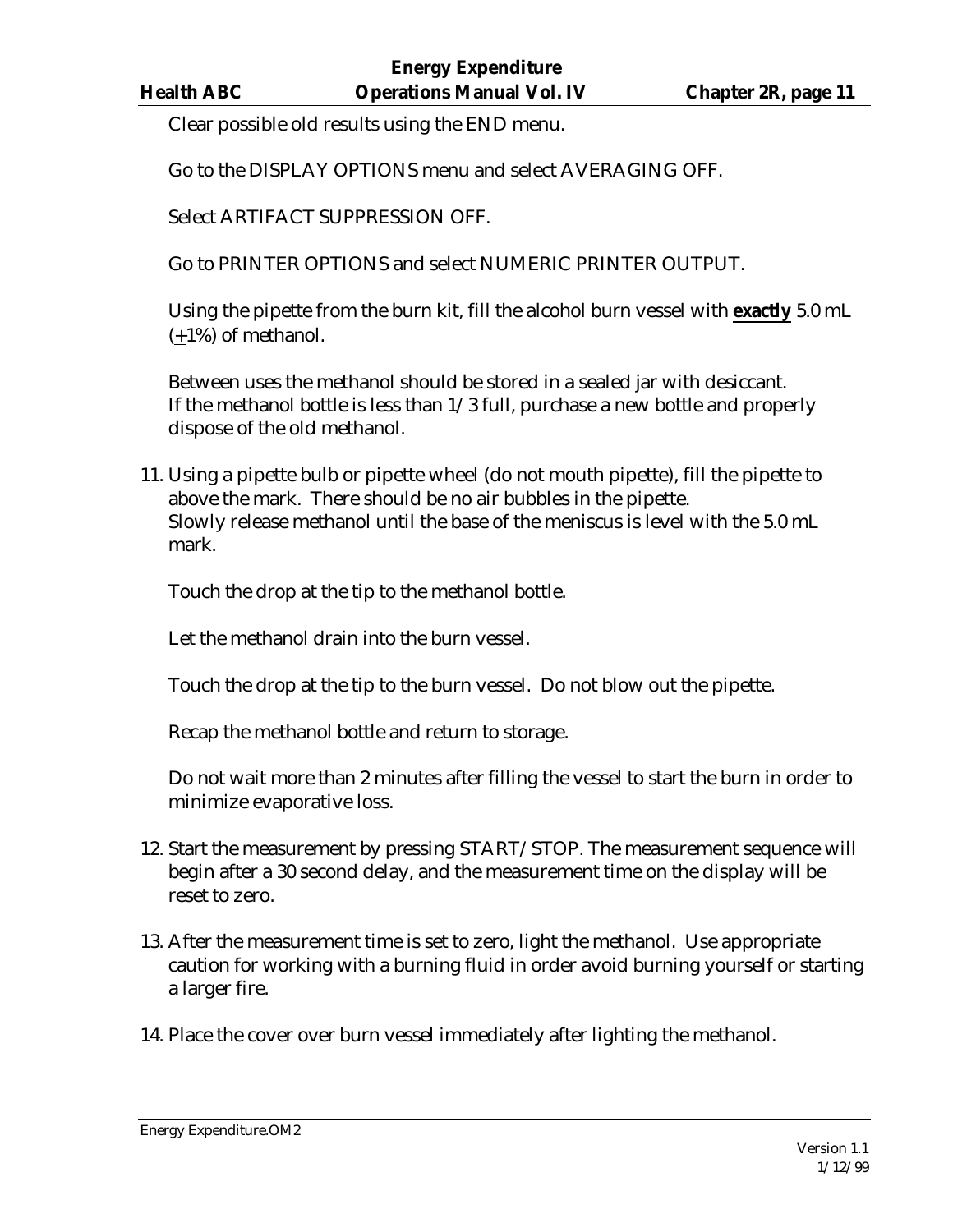Clear possible old results using the END menu.

Go to the DISPLAY OPTIONS menu and select AVERAGING OFF.

Select ARTIFACT SUPPRESSION OFF.

Go to PRINTER OPTIONS and select NUMERIC PRINTER OUTPUT.

Using the pipette from the burn kit, fill the alcohol burn vessel with **exactly** 5.0 mL (+1%) of methanol.

Between uses the methanol should be stored in a sealed jar with desiccant. If the methanol bottle is less than 1/3 full, purchase a new bottle and properly dispose of the old methanol.

11. Using a pipette bulb or pipette wheel (do not mouth pipette), fill the pipette to above the mark. There should be no air bubbles in the pipette. Slowly release methanol until the base of the meniscus is level with the 5.0 mL mark.

Touch the drop at the tip to the methanol bottle.

Let the methanol drain into the burn vessel.

Touch the drop at the tip to the burn vessel. Do not blow out the pipette.

Recap the methanol bottle and return to storage.

Do not wait more than 2 minutes after filling the vessel to start the burn in order to minimize evaporative loss.

- 12. Start the measurement by pressing START/STOP. The measurement sequence will begin after a 30 second delay, and the measurement time on the display will be reset to zero.
- 13. After the measurement time is set to zero, light the methanol. Use appropriate caution for working with a burning fluid in order avoid burning yourself or starting a larger fire.
- 14. Place the cover over burn vessel immediately after lighting the methanol.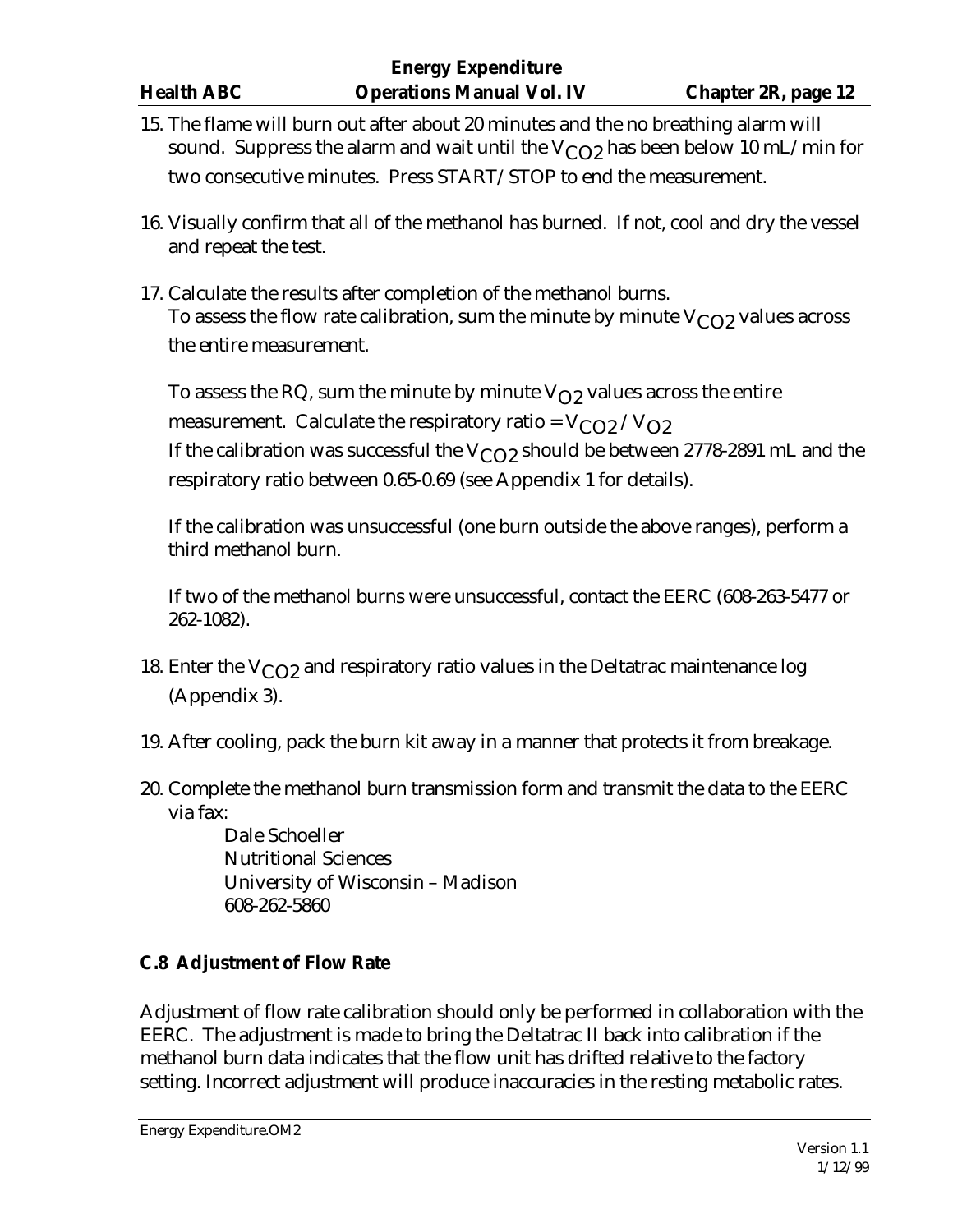- 15. The flame will burn out after about 20 minutes and the no breathing alarm will sound. Suppress the alarm and wait until the  $V_{CO2}$  has been below 10 mL/min for two consecutive minutes. Press START/STOP to end the measurement.
- 16. Visually confirm that all of the methanol has burned. If not, cool and dry the vessel and repeat the test.
- 17. Calculate the results after completion of the methanol burns. To assess the flow rate calibration, sum the minute by minute  $V_{C_1}$  values across the entire measurement.

To assess the RQ, sum the minute by minute  $V_{\Omega}$  values across the entire measurement. Calculate the respiratory ratio =  $V_{CO2}/V_{O2}$ If the calibration was successful the  $V_{CO2}$  should be between 2778-2891 mL and the respiratory ratio between 0.65-0.69 (see Appendix 1 for details).

If the calibration was unsuccessful (one burn outside the above ranges), perform a third methanol burn.

If two of the methanol burns were unsuccessful, contact the EERC (608-263-5477 or 262-1082).

- 18. Enter the  $V_{CO2}$  and respiratory ratio values in the Deltatrac maintenance log (Appendix 3).
- 19. After cooling, pack the burn kit away in a manner that protects it from breakage.
- 20. Complete the methanol burn transmission form and transmit the data to the EERC via fax:

Dale Schoeller Nutritional Sciences University of Wisconsin – Madison 608-262-5860

# **C.8 Adjustment of Flow Rate**

Adjustment of flow rate calibration should only be performed in collaboration with the EERC. The adjustment is made to bring the Deltatrac II back into calibration if the methanol burn data indicates that the flow unit has drifted relative to the factory setting. Incorrect adjustment will produce inaccuracies in the resting metabolic rates.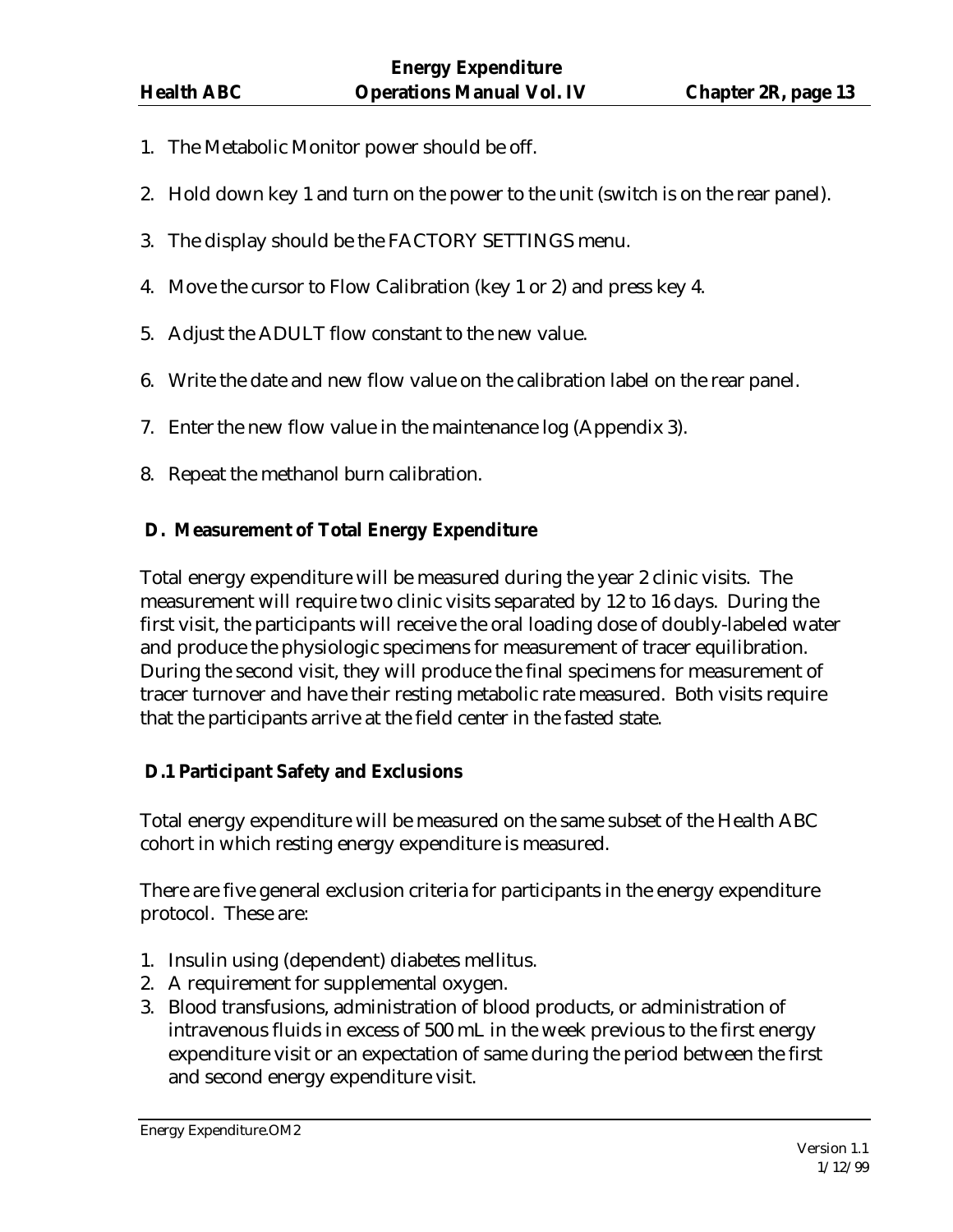- 1. The Metabolic Monitor power should be off.
- 2. Hold down key 1 and turn on the power to the unit (switch is on the rear panel).
- 3. The display should be the FACTORY SETTINGS menu.
- 4. Move the cursor to Flow Calibration (key 1 or 2) and press key 4.
- 5. Adjust the ADULT flow constant to the new value.
- 6. Write the date and new flow value on the calibration label on the rear panel.
- 7. Enter the new flow value in the maintenance log (Appendix 3).
- 8. Repeat the methanol burn calibration.

### **D. Measurement of Total Energy Expenditure**

Total energy expenditure will be measured during the year 2 clinic visits. The measurement will require two clinic visits separated by 12 to 16 days. During the first visit, the participants will receive the oral loading dose of doubly-labeled water and produce the physiologic specimens for measurement of tracer equilibration. During the second visit, they will produce the final specimens for measurement of tracer turnover and have their resting metabolic rate measured. Both visits require that the participants arrive at the field center in the fasted state.

### **D.1 Participant Safety and Exclusions**

Total energy expenditure will be measured on the same subset of the Health ABC cohort in which resting energy expenditure is measured.

There are five general exclusion criteria for participants in the energy expenditure protocol. These are:

- 1. Insulin using (dependent) diabetes mellitus.
- 2. A requirement for supplemental oxygen.
- 3. Blood transfusions, administration of blood products, or administration of intravenous fluids in excess of 500 mL in the week previous to the first energy expenditure visit or an expectation of same during the period between the first and second energy expenditure visit.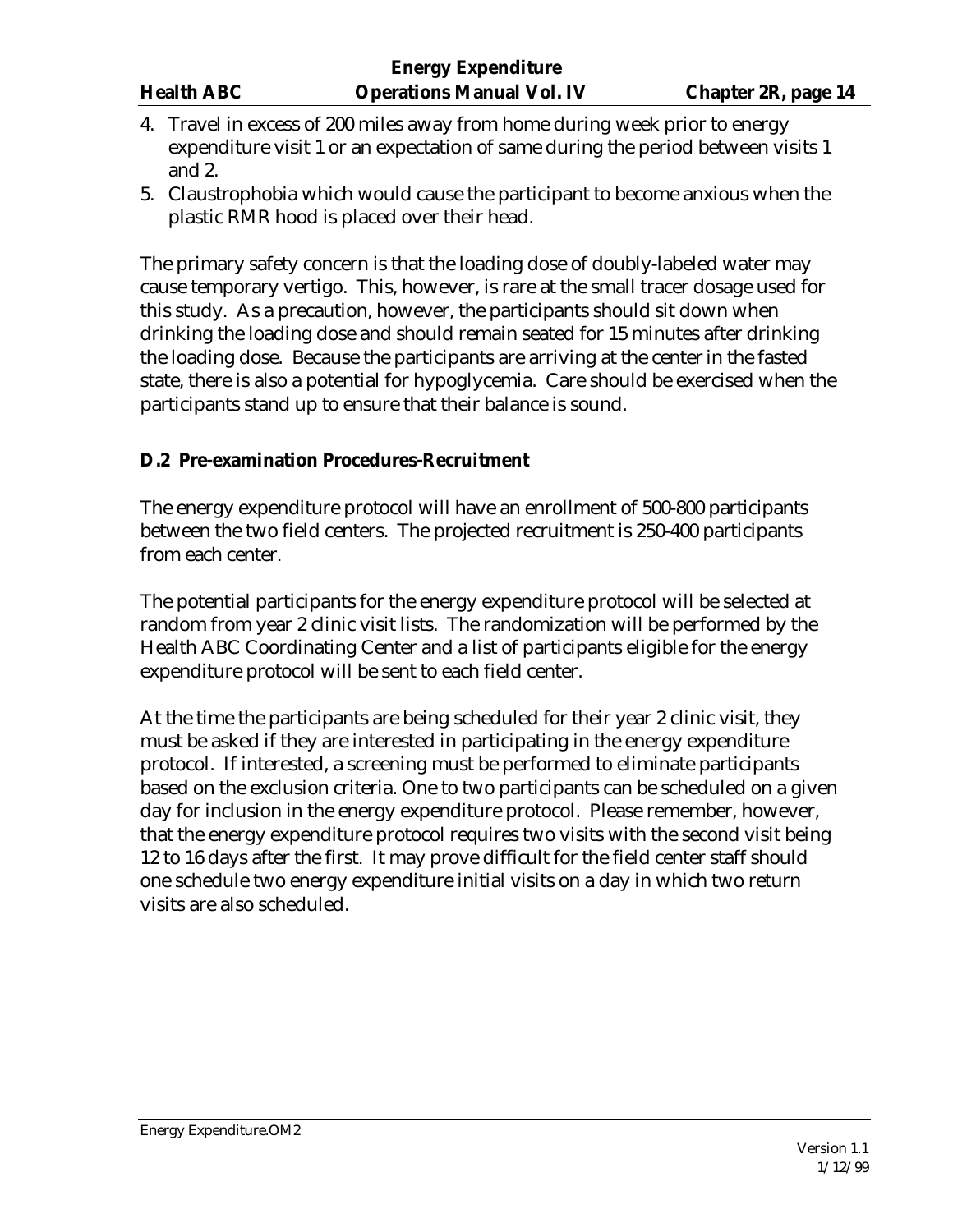- 4. Travel in excess of 200 miles away from home during week prior to energy expenditure visit 1 or an expectation of same during the period between visits 1 and 2.
- 5. Claustrophobia which would cause the participant to become anxious when the plastic RMR hood is placed over their head.

The primary safety concern is that the loading dose of doubly-labeled water may cause temporary vertigo. This, however, is rare at the small tracer dosage used for this study. As a precaution, however, the participants should sit down when drinking the loading dose and should remain seated for 15 minutes after drinking the loading dose. Because the participants are arriving at the center in the fasted state, there is also a potential for hypoglycemia. Care should be exercised when the participants stand up to ensure that their balance is sound.

### **D.2 Pre-examination Procedures-Recruitment**

The energy expenditure protocol will have an enrollment of 500-800 participants between the two field centers. The projected recruitment is 250-400 participants from each center.

The potential participants for the energy expenditure protocol will be selected at random from year 2 clinic visit lists. The randomization will be performed by the Health ABC Coordinating Center and a list of participants eligible for the energy expenditure protocol will be sent to each field center.

At the time the participants are being scheduled for their year 2 clinic visit, they must be asked if they are interested in participating in the energy expenditure protocol. If interested, a screening must be performed to eliminate participants based on the exclusion criteria. One to two participants can be scheduled on a given day for inclusion in the energy expenditure protocol. Please remember, however, that the energy expenditure protocol requires two visits with the second visit being 12 to 16 days after the first. It may prove difficult for the field center staff should one schedule two energy expenditure initial visits on a day in which two return visits are also scheduled.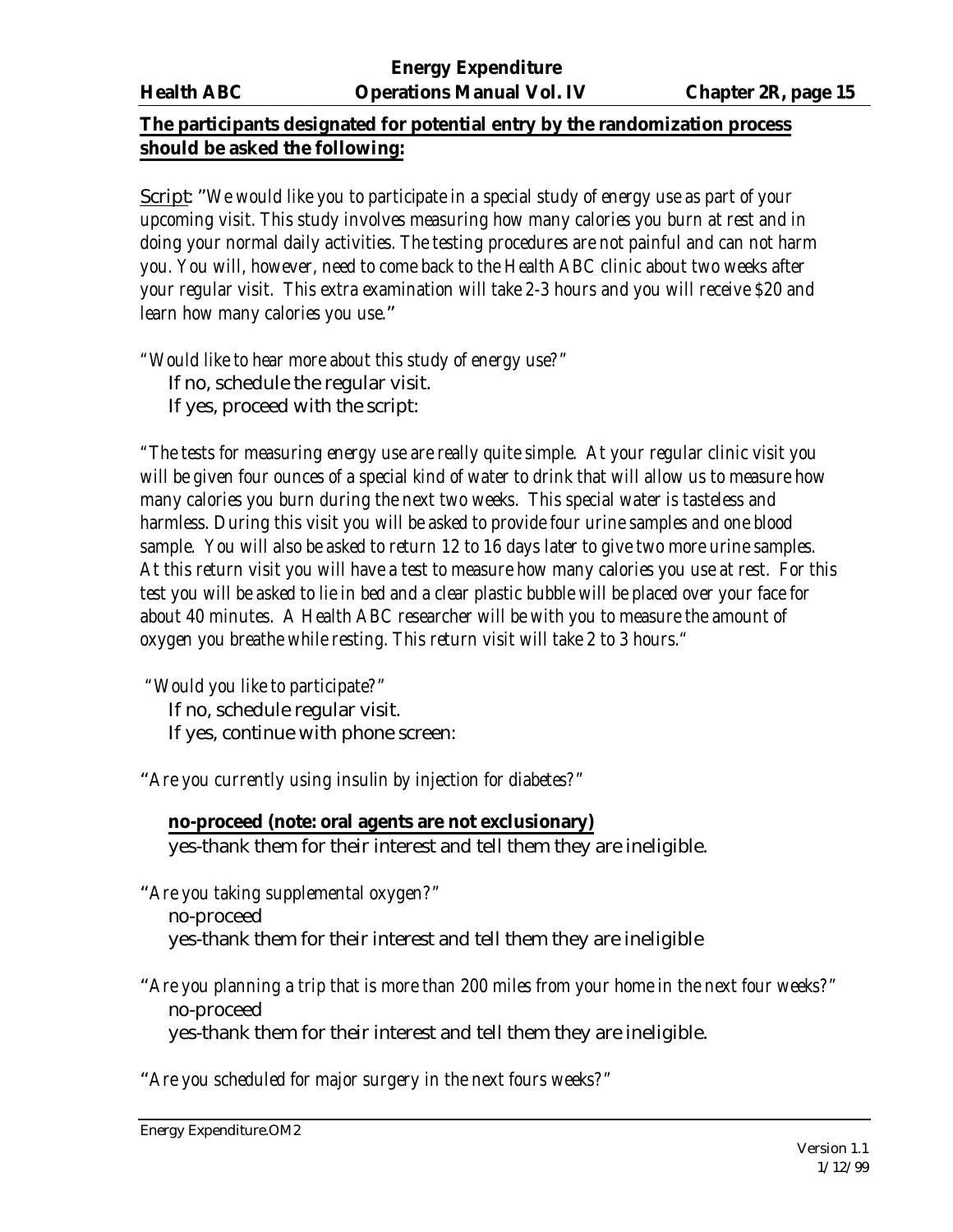# **The participants designated for potential entry by the randomization process should be asked the following:**

Script: "*We would like you to participate in a special study of energy use as part of your upcoming visit. This study involves measuring how many calories you burn at rest and in doing your normal daily activities. The testing procedures are not painful and can not harm you. You will, however, need to come back to the Health ABC clinic about two weeks after your regular visit. This extra examination will take 2-3 hours and you will receive \$20 and learn how many calories you use.*"

*"Would like to hear more about this study of energy use?"* If no, schedule the regular visit. If yes, proceed with the script:

*"The tests for measuring energy use are really quite simple. At your regular clinic visit you will be given four ounces of a special kind of water to drink that will allow us to measure how many calories you burn during the next two weeks. This special water is tasteless and harmless. During this visit you will be asked to provide four urine samples and one blood sample. You will also be asked to return 12 to 16 days later to give two more urine samples. At this return visit you will have a test to measure how many calories you use at rest. For this test you will be asked to lie in bed and a clear plastic bubble will be placed over your face for about 40 minutes. A Health ABC researcher will be with you to measure the amount of oxygen you breathe while resting. This return visit will take 2 to 3 hours."*

 *"Would you like to participate?"* If no, schedule regular visit. If yes, continue with phone screen:

"*Are you currently using insulin by injection for diabetes?"*

# **no-proceed (note: oral agents are not exclusionary)**

yes-thank them for their interest and tell them they are ineligible.

"*Are you taking supplemental oxygen?"* no-proceed

yes-thank them for their interest and tell them they are ineligible

"*Are you planning a trip that is more than 200 miles from your home in the next four weeks?"* no-proceed yes-thank them for their interest and tell them they are ineligible.

"*Are you scheduled for major surgery in the next fours weeks?"*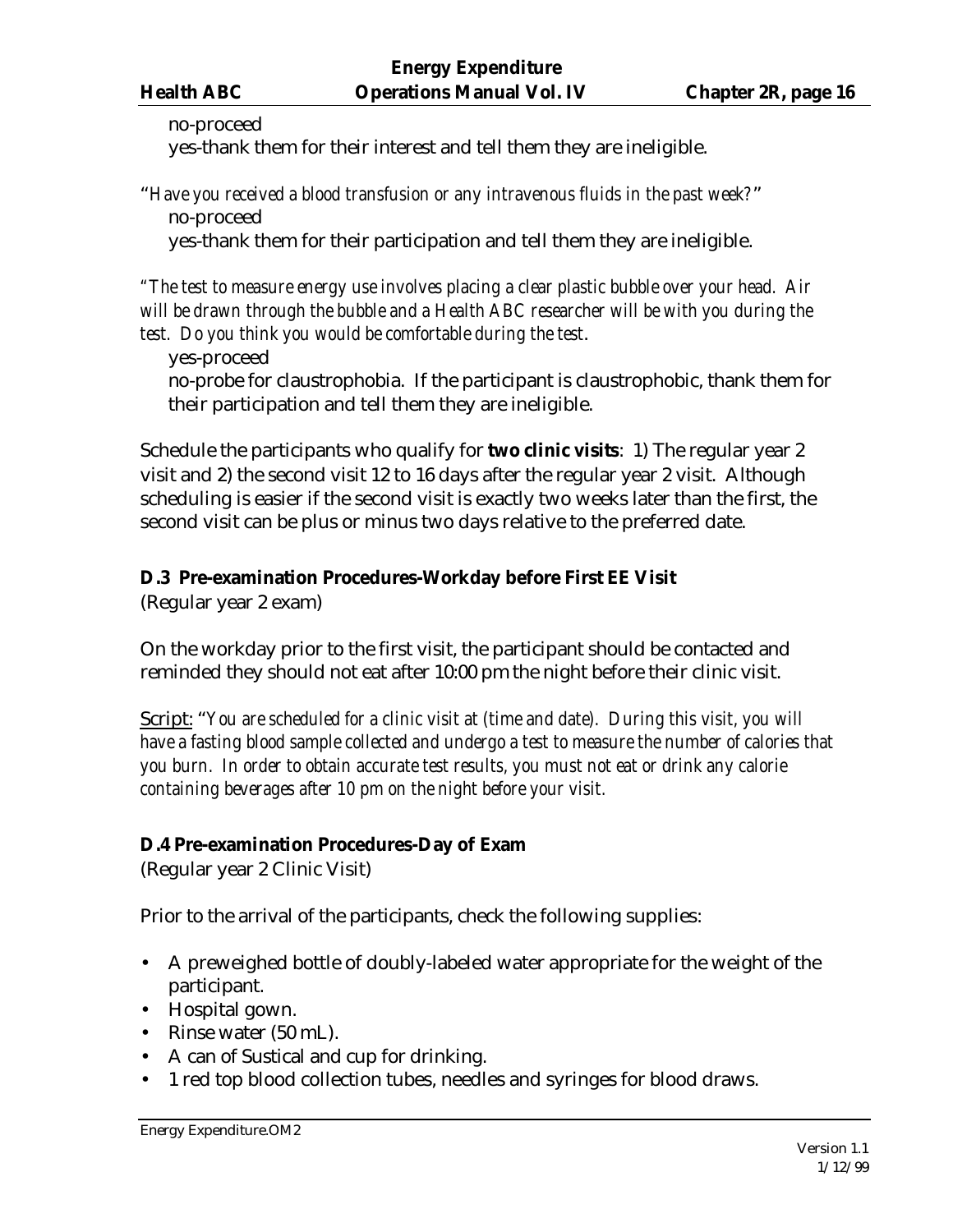#### no-proceed

yes-thank them for their interest and tell them they are ineligible.

"*Have you received a blood transfusion or any intravenous fluids in the past week?*" no-proceed

yes-thank them for their participation and tell them they are ineligible.

*"The test to measure energy use involves placing a clear plastic bubble over your head. Air will be drawn through the bubble and a Health ABC researcher will be with you during the test. Do you think you would be comfortable during the test*.

yes-proceed no-probe for claustrophobia. If the participant is claustrophobic, thank them for their participation and tell them they are ineligible.

Schedule the participants who qualify for **two clinic visits**: 1) The regular year 2 visit and 2) the second visit 12 to 16 days after the regular year 2 visit. Although scheduling is easier if the second visit is exactly two weeks later than the first, the second visit can be plus or minus two days relative to the preferred date.

# **D.3 Pre-examination Procedures-Workday before First EE Visit**

(Regular year 2 exam)

On the workday prior to the first visit, the participant should be contacted and reminded they should not eat after 10:00 pm the night before their clinic visit.

Script: "*You are scheduled for a clinic visit at (time and date). During this visit, you will have a fasting blood sample collected and undergo a test to measure the number of calories that you burn. In order to obtain accurate test results, you must not eat or drink any calorie containing beverages after 10 pm on the night before your visit.*

# **D.4 Pre-examination Procedures-Day of Exam**

(Regular year 2 Clinic Visit)

Prior to the arrival of the participants, check the following supplies:

- A preweighed bottle of doubly-labeled water appropriate for the weight of the participant.
- Hospital gown.
- Rinse water (50 mL).
- A can of Sustical and cup for drinking.
- 1 red top blood collection tubes, needles and syringes for blood draws.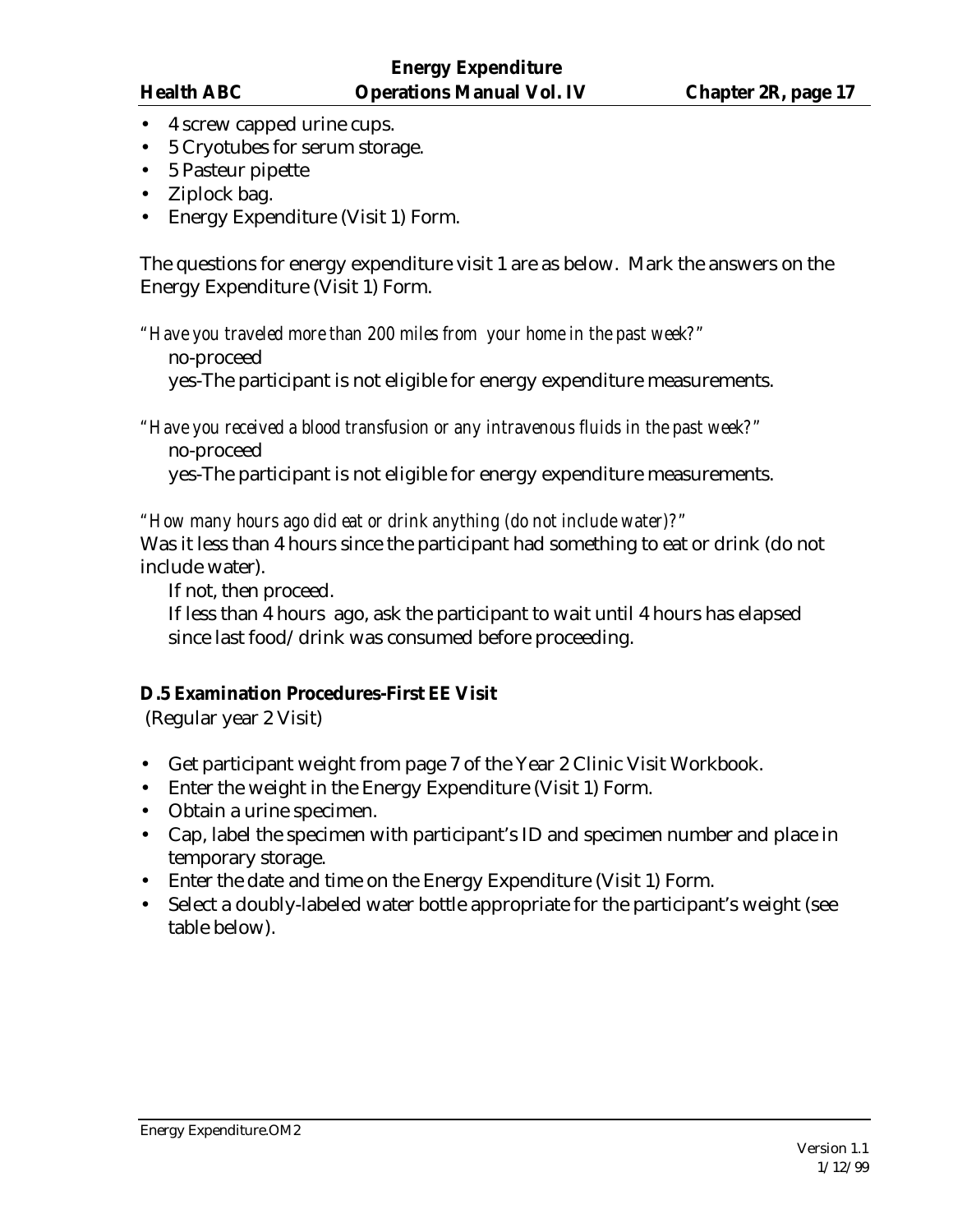- 4 screw capped urine cups.
- 5 Cryotubes for serum storage.
- 5 Pasteur pipette
- Ziplock bag.
- Energy Expenditure (Visit 1) Form.

The questions for energy expenditure visit 1 are as below. Mark the answers on the Energy Expenditure (Visit 1) Form.

*"Have you traveled more than 200 miles from your home in the past week?"*

no-proceed

yes-The participant is not eligible for energy expenditure measurements.

*"Have you received a blood transfusion or any intravenous fluids in the past week?"* no-proceed

yes-The participant is not eligible for energy expenditure measurements.

*"How many hours ago did eat or drink anything (do not include water)?"*

Was it less than 4 hours since the participant had something to eat or drink (do not include water).

If not, then proceed.

If less than 4 hours ago, ask the participant to wait until 4 hours has elapsed since last food/drink was consumed before proceeding.

# **D.5 Examination Procedures-First EE Visit**

(Regular year 2 Visit)

- Get participant weight from page 7 of the Year 2 Clinic Visit Workbook.
- Enter the weight in the Energy Expenditure (Visit 1) Form.
- Obtain a urine specimen.
- Cap, label the specimen with participant's ID and specimen number and place in temporary storage.
- Enter the date and time on the Energy Expenditure (Visit 1) Form.
- Select a doubly-labeled water bottle appropriate for the participant's weight (see table below).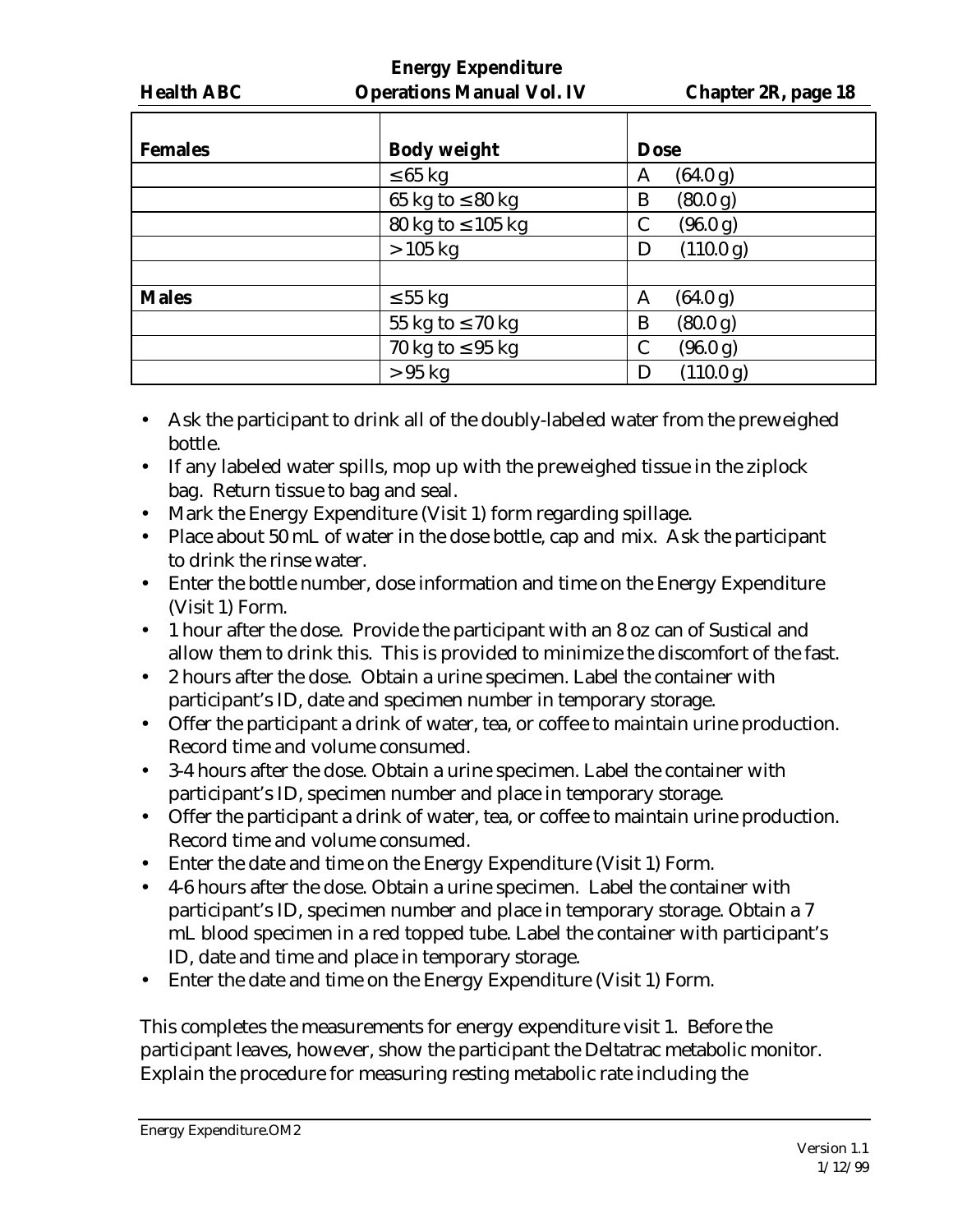| .       |
|---------|
|         |
| Operati |

| <b>Females</b> | <b>Body weight</b>     | <b>Dose</b>    |
|----------------|------------------------|----------------|
|                | $\leq 65$ kg           | (64.0 g)<br>A  |
|                | 65 kg to $\leq 80$ kg  | (80.0 g)<br>B  |
|                | 80 kg to $\leq 105$ kg | (96.0 g)<br>C  |
|                | $>105$ kg              | (110.0 g)<br>Ð |
|                |                        |                |
| <b>Males</b>   | $\leq 55$ kg           | (64.0 g)<br>A  |
|                | 55 kg to $\leq 70$ kg  | (80.0 g)<br>B  |
|                | 70 kg to $\leq$ 95 kg  | (96.0 g)<br>C  |
|                | $>95$ kg               | (110.0 g)      |

- Ask the participant to drink all of the doubly-labeled water from the preweighed bottle.
- If any labeled water spills, mop up with the preweighed tissue in the ziplock bag. Return tissue to bag and seal.
- Mark the Energy Expenditure (Visit 1) form regarding spillage.
- Place about 50 mL of water in the dose bottle, cap and mix. Ask the participant to drink the rinse water.
- Enter the bottle number, dose information and time on the Energy Expenditure (Visit 1) Form.
- 1 hour after the dose. Provide the participant with an 8 oz can of Sustical and allow them to drink this. This is provided to minimize the discomfort of the fast.
- 2 hours after the dose. Obtain a urine specimen. Label the container with participant's ID, date and specimen number in temporary storage.
- Offer the participant a drink of water, tea, or coffee to maintain urine production. Record time and volume consumed.
- 3-4 hours after the dose. Obtain a urine specimen. Label the container with participant's ID, specimen number and place in temporary storage.
- Offer the participant a drink of water, tea, or coffee to maintain urine production. Record time and volume consumed.
- Enter the date and time on the Energy Expenditure (Visit 1) Form.
- 4-6 hours after the dose. Obtain a urine specimen. Label the container with participant's ID, specimen number and place in temporary storage. Obtain a 7 mL blood specimen in a red topped tube. Label the container with participant's ID, date and time and place in temporary storage.
- Enter the date and time on the Energy Expenditure (Visit 1) Form.

This completes the measurements for energy expenditure visit 1. Before the participant leaves, however, show the participant the Deltatrac metabolic monitor. Explain the procedure for measuring resting metabolic rate including the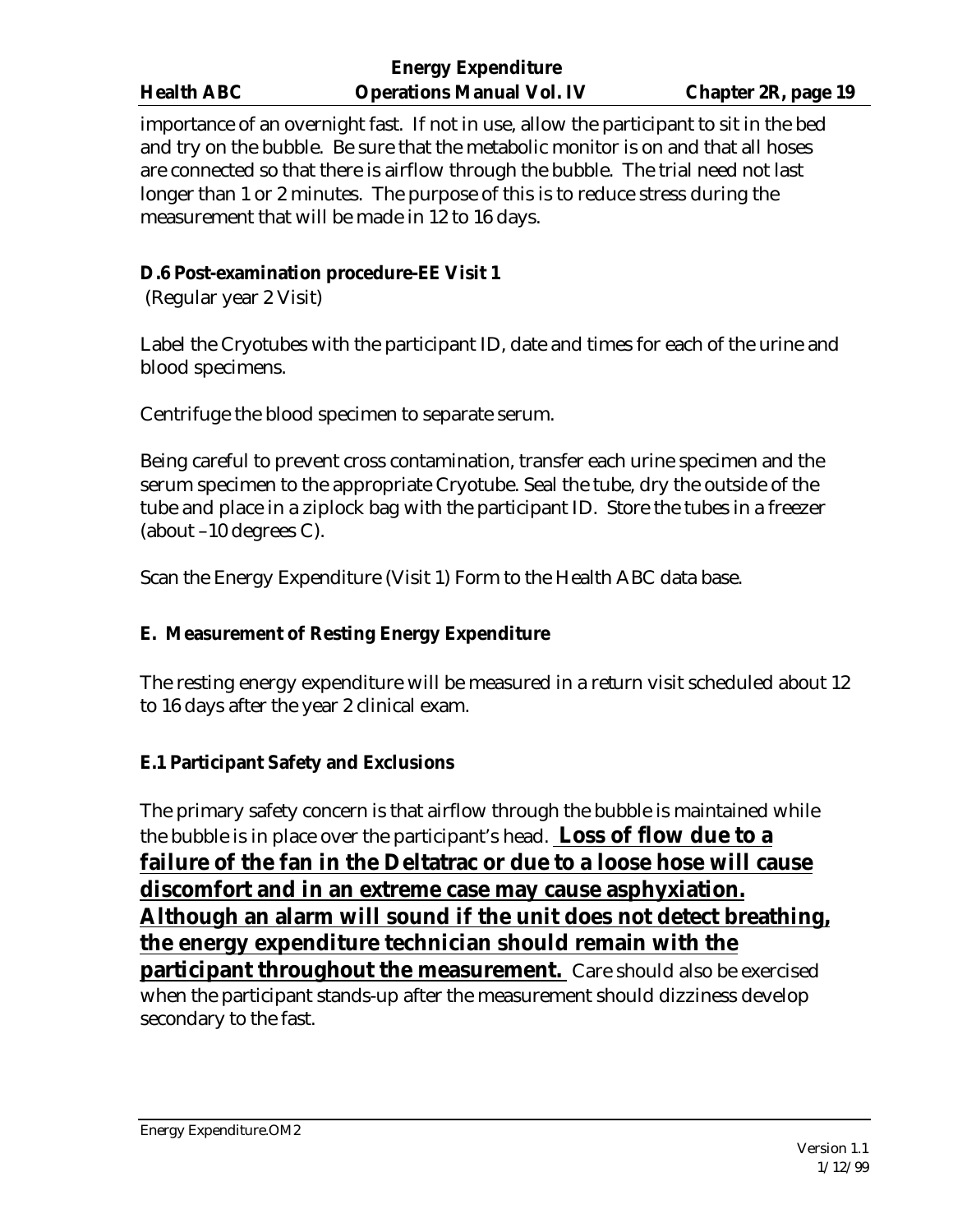importance of an overnight fast. If not in use, allow the participant to sit in the bed and try on the bubble. Be sure that the metabolic monitor is on and that all hoses are connected so that there is airflow through the bubble. The trial need not last longer than 1 or 2 minutes. The purpose of this is to reduce stress during the measurement that will be made in 12 to 16 days.

# **D.6 Post-examination procedure-EE Visit 1**

(Regular year 2 Visit)

Label the Cryotubes with the participant ID, date and times for each of the urine and blood specimens.

Centrifuge the blood specimen to separate serum.

Being careful to prevent cross contamination, transfer each urine specimen and the serum specimen to the appropriate Cryotube. Seal the tube, dry the outside of the tube and place in a ziplock bag with the participant ID. Store the tubes in a freezer (about –10 degrees C).

Scan the Energy Expenditure (Visit 1) Form to the Health ABC data base.

# **E. Measurement of Resting Energy Expenditure**

The resting energy expenditure will be measured in a return visit scheduled about 12 to 16 days after the year 2 clinical exam.

# **E.1 Participant Safety and Exclusions**

The primary safety concern is that airflow through the bubble is maintained while the bubble is in place over the participant's head. **Loss of flow due to a failure of the fan in the Deltatrac or due to a loose hose will cause discomfort and in an extreme case may cause asphyxiation. Although an alarm will sound if the unit does not detect breathing, the energy expenditure technician should remain with the participant throughout the measurement.** Care should also be exercised when the participant stands-up after the measurement should dizziness develop secondary to the fast.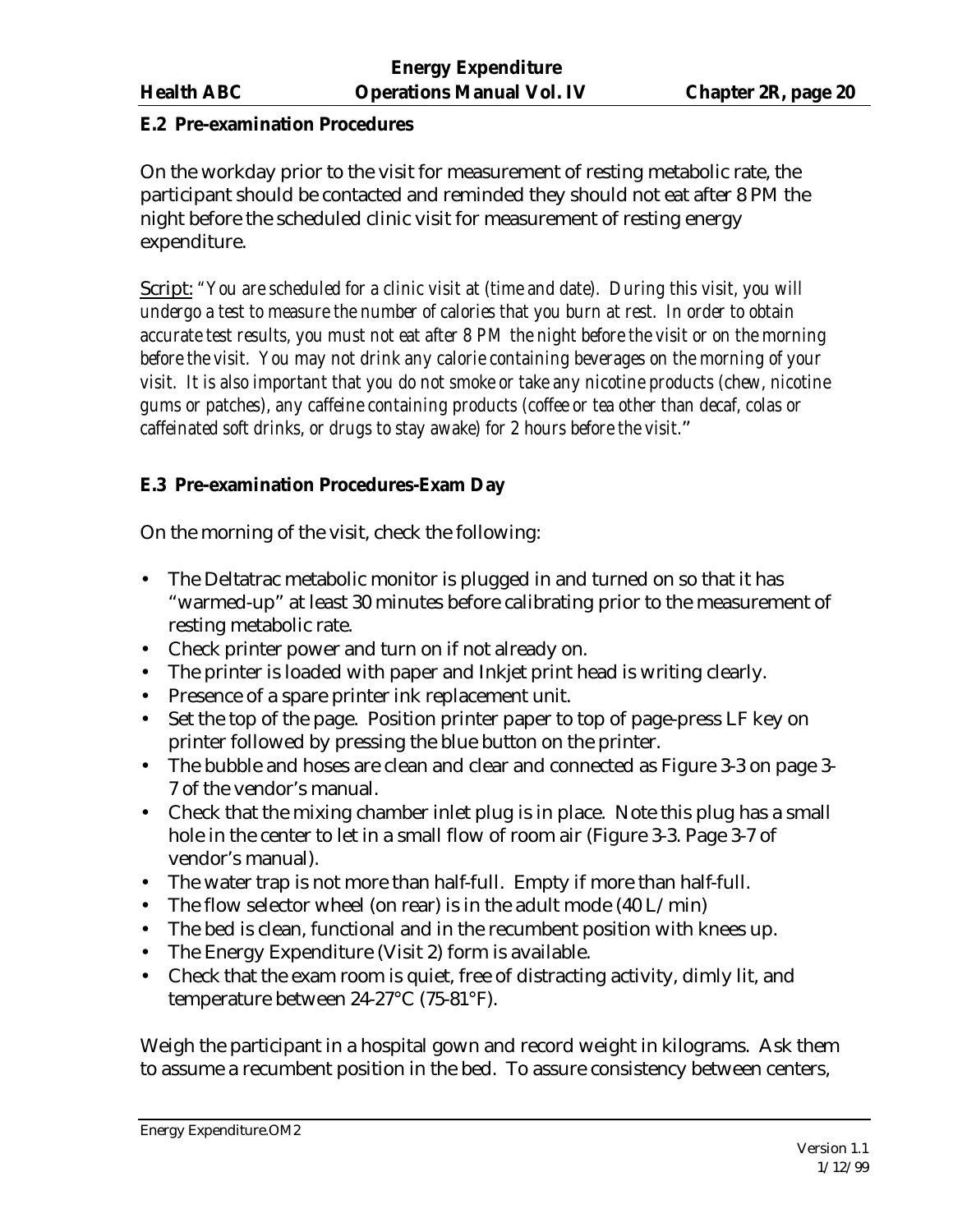#### **E.2 Pre-examination Procedures**

On the workday prior to the visit for measurement of resting metabolic rate, the participant should be contacted and reminded they should not eat after 8 PM the night before the scheduled clinic visit for measurement of resting energy expenditure.

Script: *"You are scheduled for a clinic visit at (time and date). During this visit, you will undergo a test to measure the number of calories that you burn at rest. In order to obtain accurate test results, you must not eat after 8 PM the night before the visit or on the morning before the visit. You may not drink any calorie containing beverages on the morning of your visit. It is also important that you do not smoke or take any nicotine products (chew, nicotine gums or patches), any caffeine containing products (coffee or tea other than decaf, colas or caffeinated soft drinks, or drugs to stay awake) for 2 hours before the visit.*"

### **E.3 Pre-examination Procedures-Exam Day**

On the morning of the visit, check the following:

- The Deltatrac metabolic monitor is plugged in and turned on so that it has "warmed-up" at least 30 minutes before calibrating prior to the measurement of resting metabolic rate.
- Check printer power and turn on if not already on.
- The printer is loaded with paper and Inkjet print head is writing clearly.
- Presence of a spare printer ink replacement unit.
- Set the top of the page. Position printer paper to top of page-press LF key on printer followed by pressing the blue button on the printer.
- The bubble and hoses are clean and clear and connected as Figure 3-3 on page 3- 7 of the vendor's manual.
- Check that the mixing chamber inlet plug is in place. Note this plug has a small hole in the center to let in a small flow of room air (Figure 3-3. Page 3-7 of vendor's manual).
- The water trap is not more than half-full. Empty if more than half-full.
- The flow selector wheel (on rear) is in the adult mode  $(40 L/min)$
- The bed is clean, functional and in the recumbent position with knees up.
- The Energy Expenditure (Visit 2) form is available.
- Check that the exam room is quiet, free of distracting activity, dimly lit, and temperature between 24-27°C (75-81°F).

Weigh the participant in a hospital gown and record weight in kilograms. Ask them to assume a recumbent position in the bed. To assure consistency between centers,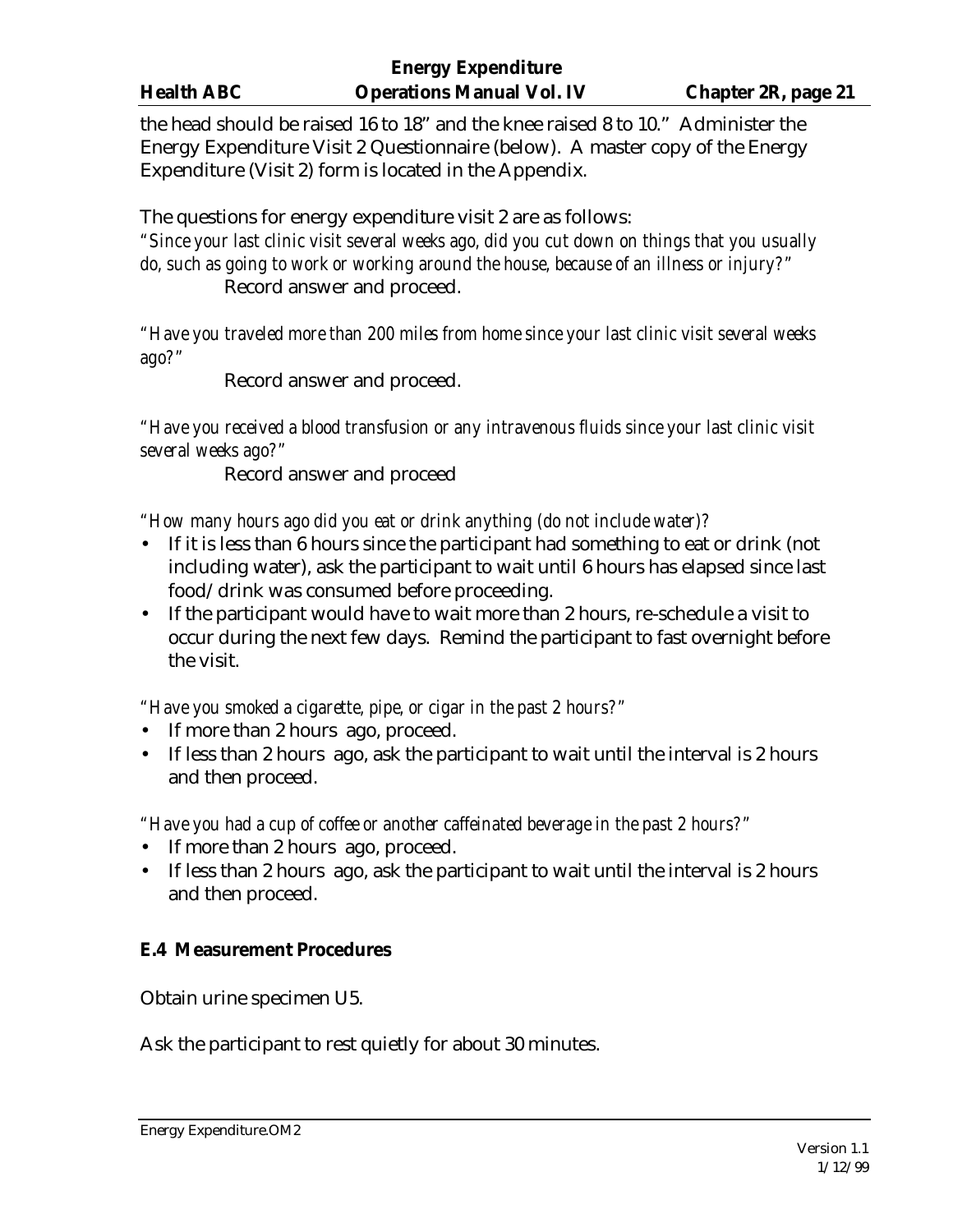the head should be raised 16 to 18" and the knee raised 8 to 10." Administer the Energy Expenditure Visit 2 Questionnaire (below). A master copy of the Energy Expenditure (Visit 2) form is located in the Appendix.

The questions for energy expenditure visit 2 are as follows:

*"Since your last clinic visit several weeks ago, did you cut down on things that you usually do, such as going to work or working around the house, because of an illness or injury?"* Record answer and proceed.

*"Have you traveled more than 200 miles from home since your last clinic visit several weeks ago?"*

Record answer and proceed.

*"Have you received a blood transfusion or any intravenous fluids since your last clinic visit several weeks ago?"*

Record answer and proceed

*"How many hours ago did you eat or drink anything (do not include water)?*

- If it is less than 6 hours since the participant had something to eat or drink (not including water), ask the participant to wait until 6 hours has elapsed since last food/drink was consumed before proceeding.
- If the participant would have to wait more than 2 hours, re-schedule a visit to occur during the next few days. Remind the participant to fast overnight before the visit.

*"Have you smoked a cigarette, pipe, or cigar in the past 2 hours?"*

- If more than 2 hours ago, proceed.
- If less than 2 hours ago, ask the participant to wait until the interval is 2 hours and then proceed.

*"Have you had a cup of coffee or another caffeinated beverage in the past 2 hours?"*

- If more than 2 hours ago, proceed.
- If less than 2 hours ago, ask the participant to wait until the interval is 2 hours and then proceed.

# **E.4 Measurement Procedures**

Obtain urine specimen U5.

Ask the participant to rest quietly for about 30 minutes.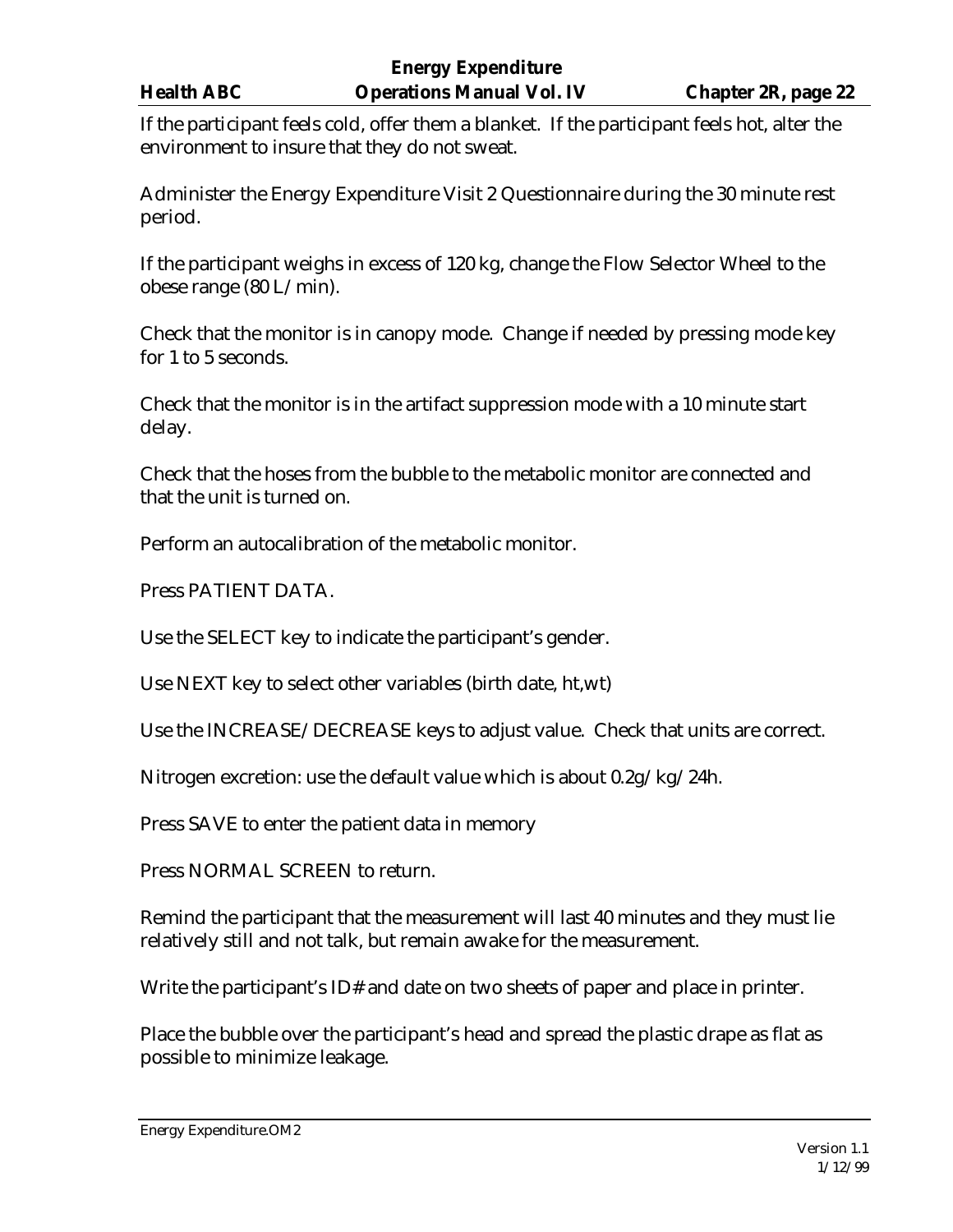If the participant feels cold, offer them a blanket. If the participant feels hot, alter the environment to insure that they do not sweat.

Administer the Energy Expenditure Visit 2 Questionnaire during the 30 minute rest period.

If the participant weighs in excess of 120 kg, change the Flow Selector Wheel to the obese range (80 L/min).

Check that the monitor is in canopy mode. Change if needed by pressing mode key for 1 to 5 seconds.

Check that the monitor is in the artifact suppression mode with a 10 minute start delay.

Check that the hoses from the bubble to the metabolic monitor are connected and that the unit is turned on.

Perform an autocalibration of the metabolic monitor.

Press PATIENT DATA.

Use the SELECT key to indicate the participant's gender.

Use NEXT key to select other variables (birth date, ht,wt)

Use the INCREASE/DECREASE keys to adjust value. Check that units are correct.

Nitrogen excretion: use the default value which is about 0.2g/kg/24h.

Press SAVE to enter the patient data in memory

Press NORMAL SCREEN to return.

Remind the participant that the measurement will last 40 minutes and they must lie relatively still and not talk, but remain awake for the measurement.

Write the participant's ID# and date on two sheets of paper and place in printer.

Place the bubble over the participant's head and spread the plastic drape as flat as possible to minimize leakage.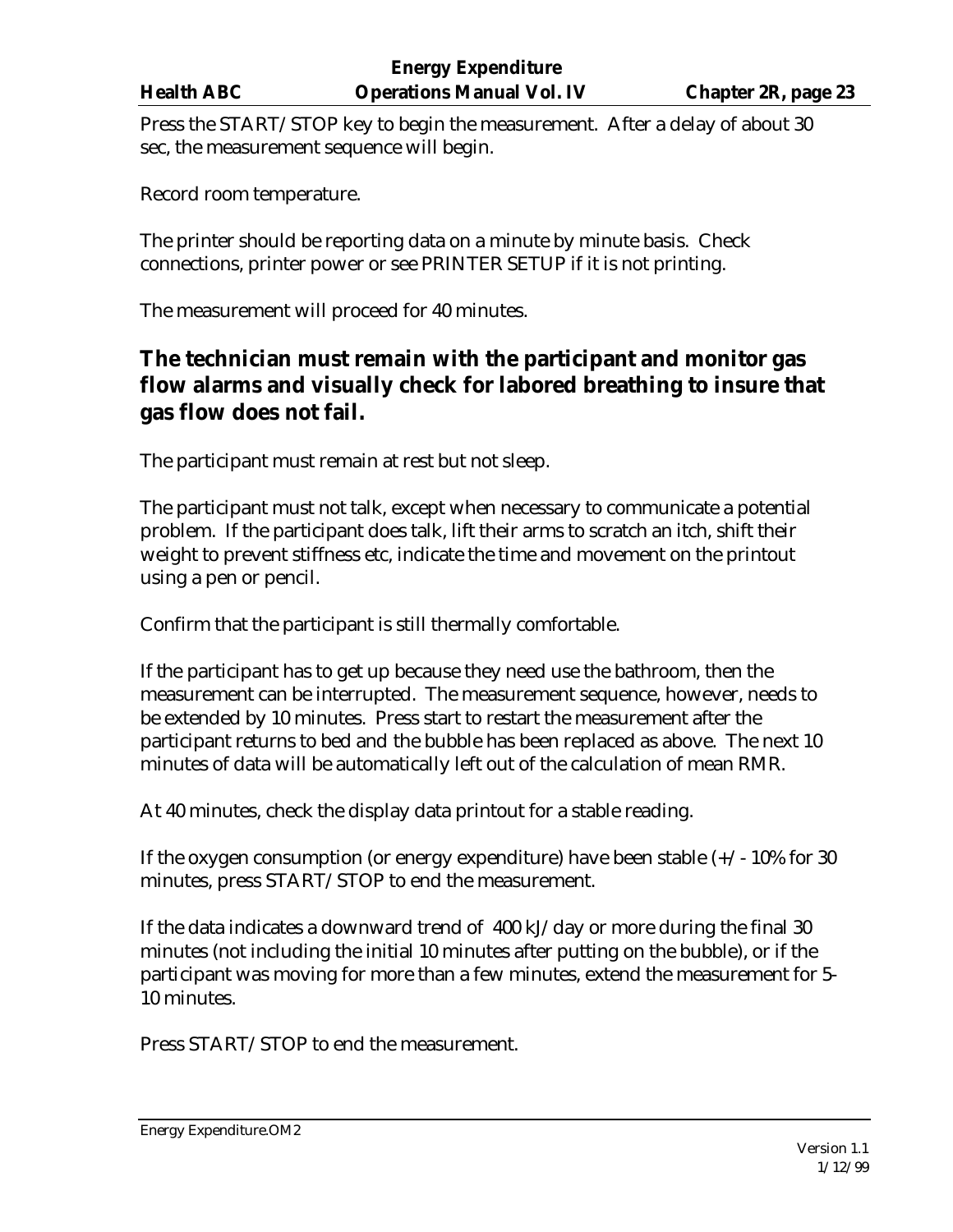Press the START/STOP key to begin the measurement. After a delay of about 30 sec, the measurement sequence will begin.

Record room temperature.

The printer should be reporting data on a minute by minute basis. Check connections, printer power or see PRINTER SETUP if it is not printing.

The measurement will proceed for 40 minutes.

# **The technician must remain with the participant and monitor gas flow alarms and visually check for labored breathing to insure that gas flow does not fail.**

The participant must remain at rest but not sleep.

The participant must not talk, except when necessary to communicate a potential problem. If the participant does talk, lift their arms to scratch an itch, shift their weight to prevent stiffness etc, indicate the time and movement on the printout using a pen or pencil.

Confirm that the participant is still thermally comfortable.

If the participant has to get up because they need use the bathroom, then the measurement can be interrupted. The measurement sequence, however, needs to be extended by 10 minutes. Press start to restart the measurement after the participant returns to bed and the bubble has been replaced as above. The next 10 minutes of data will be automatically left out of the calculation of mean RMR.

At 40 minutes, check the display data printout for a stable reading.

If the oxygen consumption (or energy expenditure) have been stable  $(+/-10\%$  for 30 minutes, press START/STOP to end the measurement.

If the data indicates a downward trend of 400 kJ/day or more during the final 30 minutes (not including the initial 10 minutes after putting on the bubble), or if the participant was moving for more than a few minutes, extend the measurement for 5- 10 minutes.

Press START/STOP to end the measurement.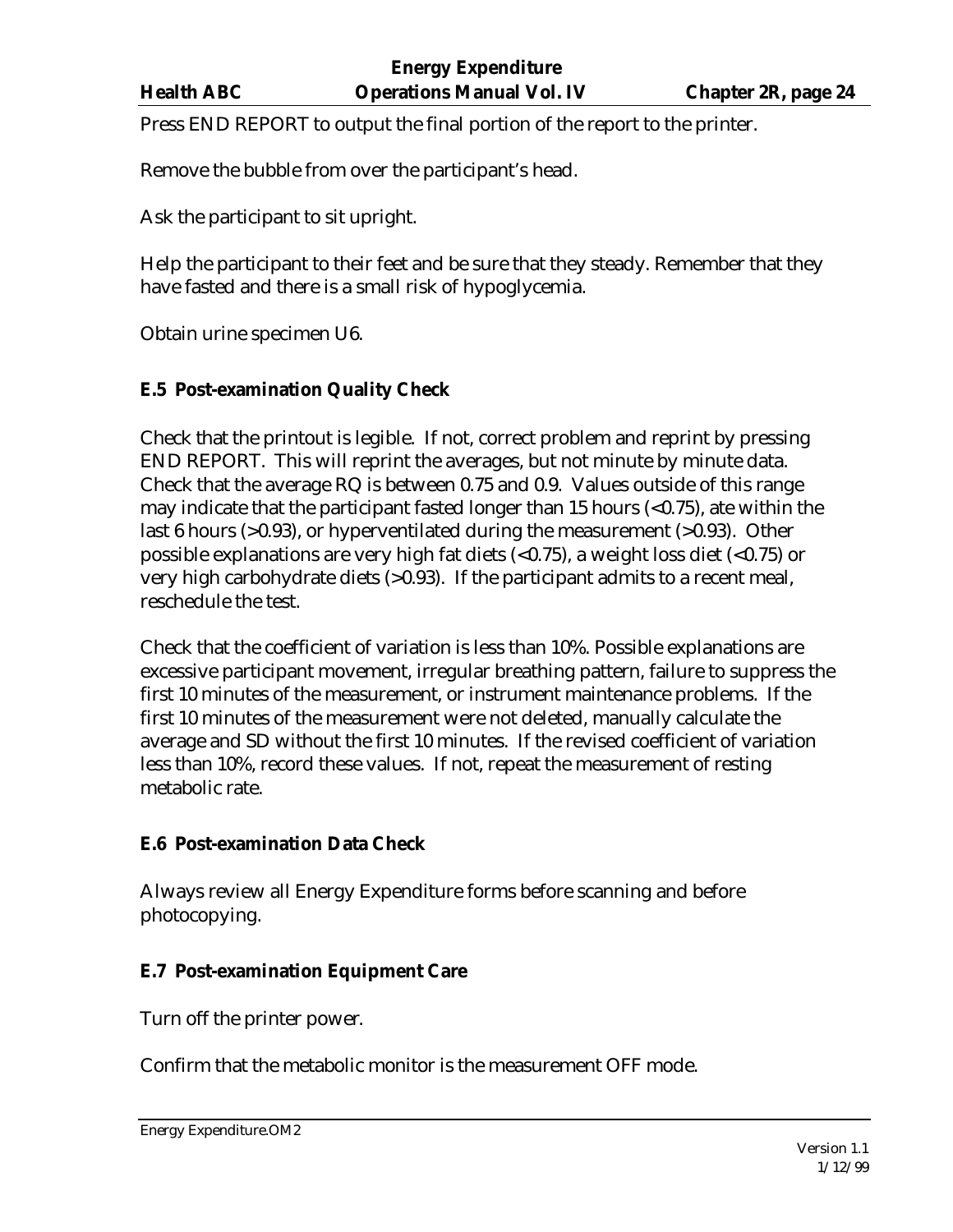Press END REPORT to output the final portion of the report to the printer.

Remove the bubble from over the participant's head.

Ask the participant to sit upright.

Help the participant to their feet and be sure that they steady. Remember that they have fasted and there is a small risk of hypoglycemia.

Obtain urine specimen U6.

## **E.5 Post-examination Quality Check**

Check that the printout is legible. If not, correct problem and reprint by pressing END REPORT. This will reprint the averages, but not minute by minute data. Check that the average RQ is between 0.75 and 0.9. Values outside of this range may indicate that the participant fasted longer than 15 hours  $\langle$  = 0.75), ate within the last 6 hours (>0.93), or hyperventilated during the measurement (>0.93). Other possible explanations are very high fat diets (<0.75), a weight loss diet (<0.75) or very high carbohydrate diets (>0.93). If the participant admits to a recent meal, reschedule the test.

Check that the coefficient of variation is less than 10%. Possible explanations are excessive participant movement, irregular breathing pattern, failure to suppress the first 10 minutes of the measurement, or instrument maintenance problems. If the first 10 minutes of the measurement were not deleted, manually calculate the average and SD without the first 10 minutes. If the revised coefficient of variation less than 10%, record these values. If not, repeat the measurement of resting metabolic rate.

### **E.6 Post-examination Data Check**

Always review all Energy Expenditure forms before scanning and before photocopying.

# **E.7 Post-examination Equipment Care**

Turn off the printer power.

Confirm that the metabolic monitor is the measurement OFF mode.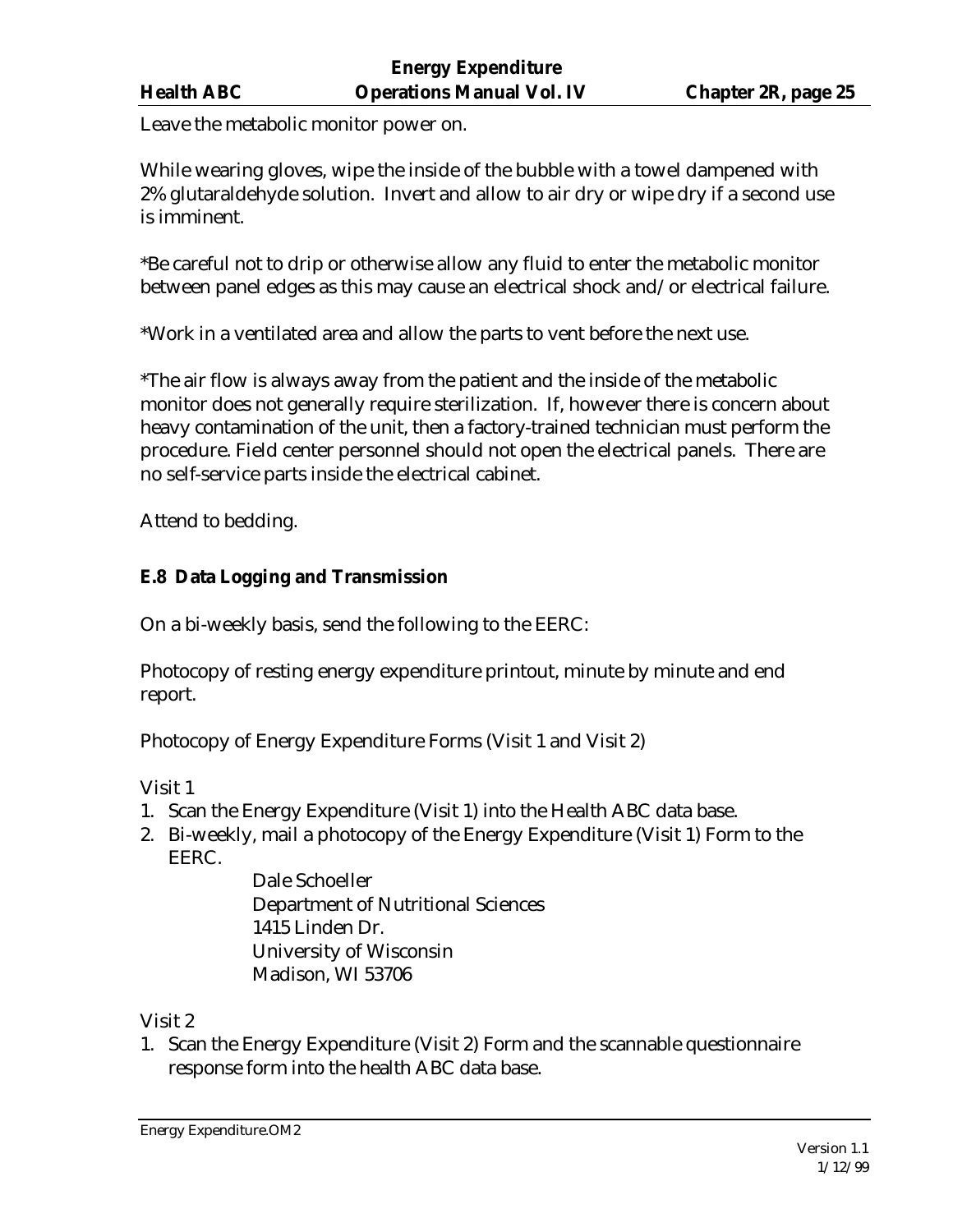Leave the metabolic monitor power on.

While wearing gloves, wipe the inside of the bubble with a towel dampened with 2% glutaraldehyde solution. Invert and allow to air dry or wipe dry if a second use is imminent.

\*Be careful not to drip or otherwise allow any fluid to enter the metabolic monitor between panel edges as this may cause an electrical shock and/or electrical failure.

\*Work in a ventilated area and allow the parts to vent before the next use.

\*The air flow is always away from the patient and the inside of the metabolic monitor does not generally require sterilization. If, however there is concern about heavy contamination of the unit, then a factory-trained technician must perform the procedure. Field center personnel should not open the electrical panels. There are no self-service parts inside the electrical cabinet.

Attend to bedding.

# **E.8 Data Logging and Transmission**

On a bi-weekly basis, send the following to the EERC:

Photocopy of resting energy expenditure printout, minute by minute and end report.

Photocopy of Energy Expenditure Forms (Visit 1 and Visit 2)

Visit 1

- 1. Scan the Energy Expenditure (Visit 1) into the Health ABC data base.
- 2. Bi-weekly, mail a photocopy of the Energy Expenditure (Visit 1) Form to the EERC.

Dale Schoeller Department of Nutritional Sciences 1415 Linden Dr. University of Wisconsin Madison, WI 53706

Visit 2

1. Scan the Energy Expenditure (Visit 2) Form and the scannable questionnaire response form into the health ABC data base.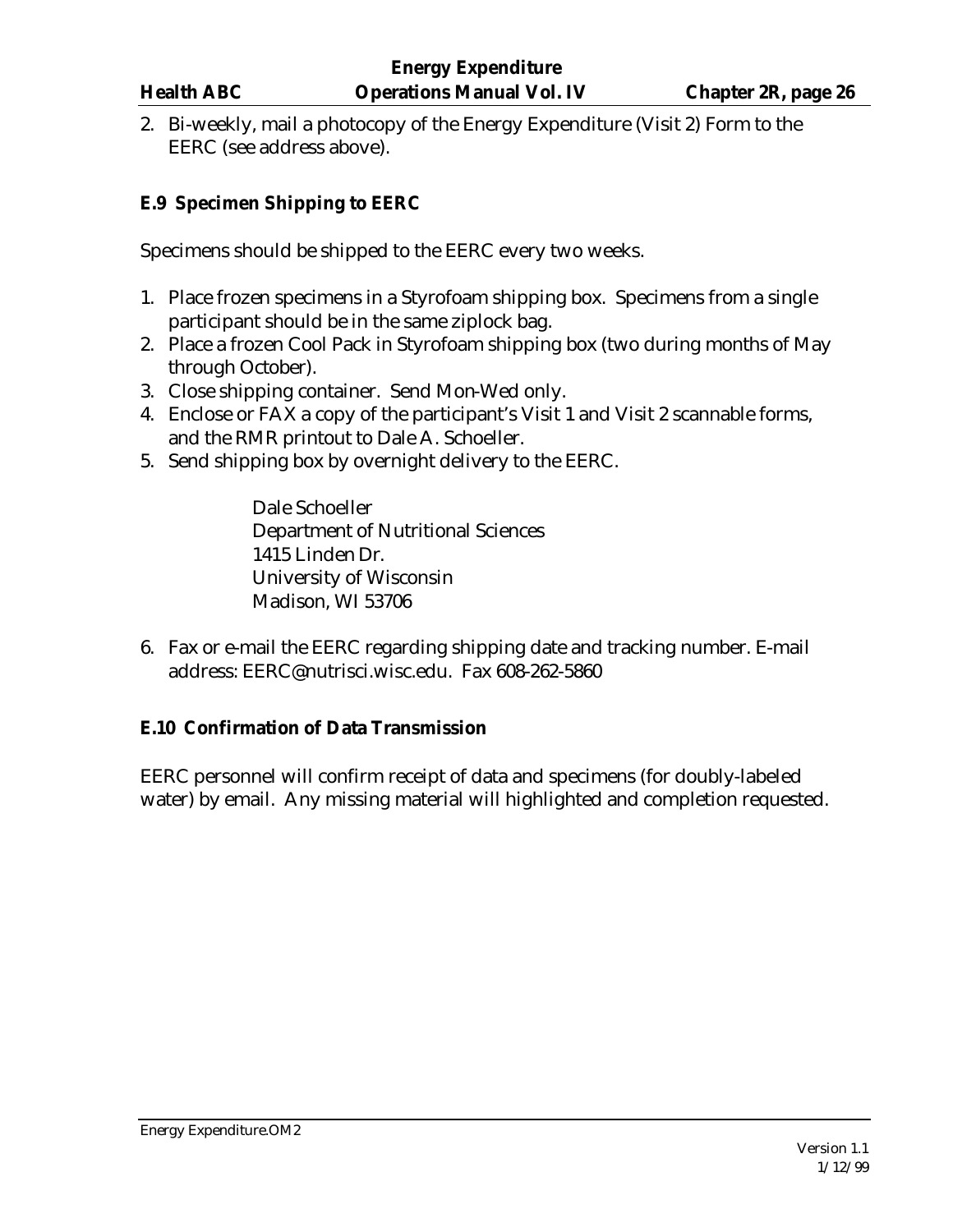2. Bi-weekly, mail a photocopy of the Energy Expenditure (Visit 2) Form to the EERC (see address above).

# **E.9 Specimen Shipping to EERC**

Specimens should be shipped to the EERC every two weeks.

- 1. Place frozen specimens in a Styrofoam shipping box. Specimens from a single participant should be in the same ziplock bag.
- 2. Place a frozen Cool Pack in Styrofoam shipping box (two during months of May through October).
- 3. Close shipping container. Send Mon-Wed only.
- 4. Enclose or FAX a copy of the participant's Visit 1 and Visit 2 scannable forms, and the RMR printout to Dale A. Schoeller.
- 5. Send shipping box by overnight delivery to the EERC.

Dale Schoeller Department of Nutritional Sciences 1415 Linden Dr. University of Wisconsin Madison, WI 53706

6. Fax or e-mail the EERC regarding shipping date and tracking number. E-mail address: EERC@nutrisci.wisc.edu. Fax 608-262-5860

### **E.10 Confirmation of Data Transmission**

EERC personnel will confirm receipt of data and specimens (for doubly-labeled water) by email. Any missing material will highlighted and completion requested.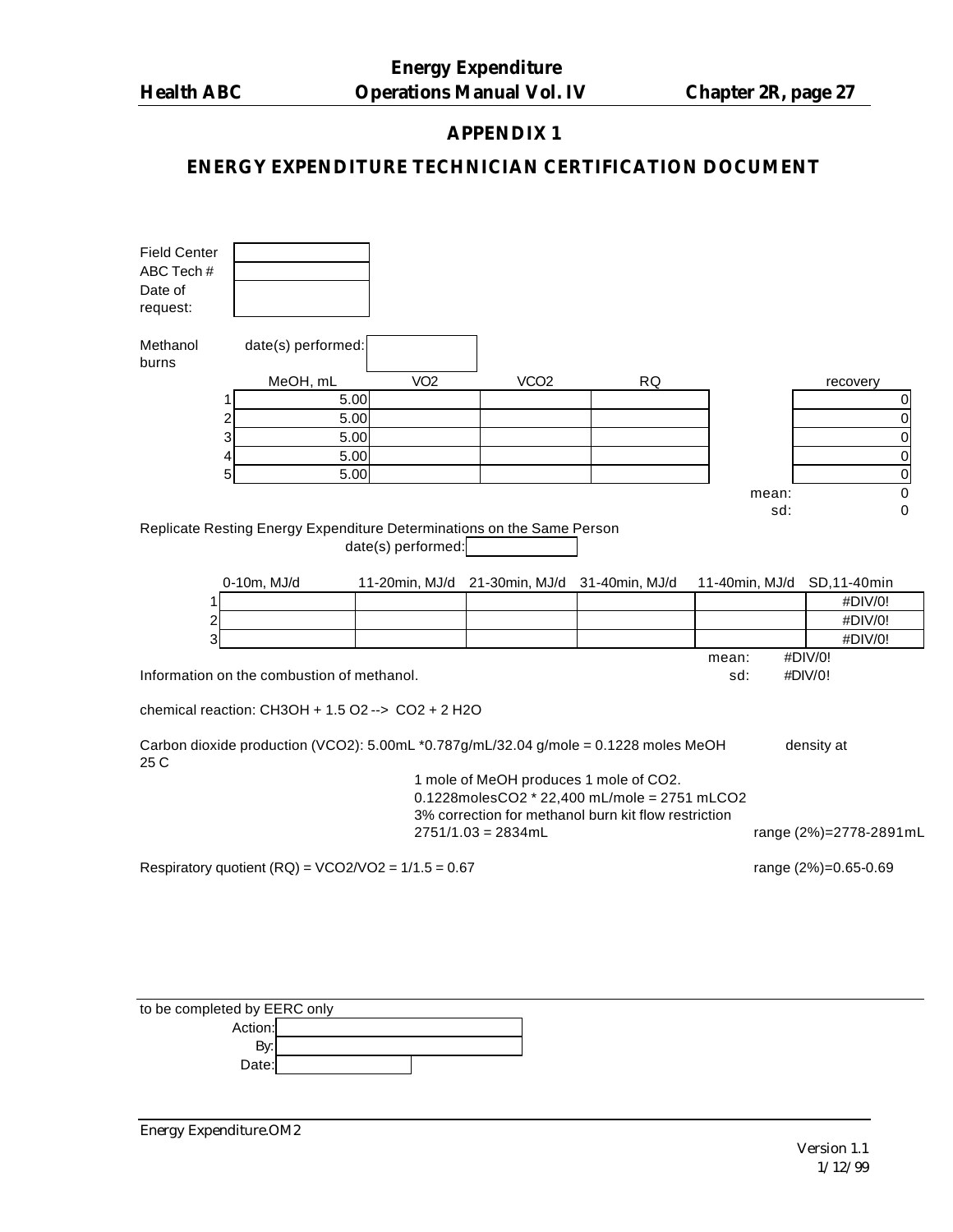# **APPENDIX 1**

# **ENERGY EXPENDITURE TECHNICIAN CERTIFICATION DOCUMENT**

| <b>Field Center</b><br>ABC Tech#<br>Date of<br>request: |                                                                                      |                    |                      |                                                                                                                                                |                |                         |
|---------------------------------------------------------|--------------------------------------------------------------------------------------|--------------------|----------------------|------------------------------------------------------------------------------------------------------------------------------------------------|----------------|-------------------------|
| Methanol<br>burns                                       | date(s) performed:                                                                   |                    |                      |                                                                                                                                                |                |                         |
|                                                         | MeOH, mL                                                                             | VO <sub>2</sub>    | VCO <sub>2</sub>     | <b>RQ</b>                                                                                                                                      |                | recovery                |
|                                                         | 5.00<br>1                                                                            |                    |                      |                                                                                                                                                |                | 0                       |
|                                                         | $\overline{c}$<br>5.00                                                               |                    |                      |                                                                                                                                                |                | 0                       |
|                                                         | 3<br>5.00                                                                            |                    |                      |                                                                                                                                                |                | $\mathbf 0$             |
|                                                         | 4<br>5.00                                                                            |                    |                      |                                                                                                                                                |                | $\pmb{0}$               |
|                                                         | 5<br>5.00                                                                            |                    |                      |                                                                                                                                                |                | $\pmb{0}$               |
|                                                         |                                                                                      |                    |                      |                                                                                                                                                | mean:<br>sd:   | 0<br>0                  |
|                                                         | Replicate Resting Energy Expenditure Determinations on the Same Person               | date(s) performed: |                      |                                                                                                                                                |                |                         |
| 1                                                       | 0-10m, MJ/d                                                                          | 11-20min, MJ/d     | 21-30min, MJ/d       | 31-40min, MJ/d                                                                                                                                 | 11-40min, MJ/d | SD, 11-40min<br>#DIV/0! |
| 2                                                       |                                                                                      |                    |                      |                                                                                                                                                |                | #DIV/0!                 |
| 3                                                       |                                                                                      |                    |                      |                                                                                                                                                |                | #DIV/0!                 |
|                                                         |                                                                                      |                    |                      |                                                                                                                                                | mean:          | #DIV/0!                 |
|                                                         | Information on the combustion of methanol.                                           |                    |                      |                                                                                                                                                | sd:            | #DIV/0!                 |
|                                                         | chemical reaction: CH3OH + 1.5 O2 --> CO2 + 2 H2O                                    |                    |                      |                                                                                                                                                |                |                         |
| 25 C                                                    | Carbon dioxide production (VCO2): 5.00mL *0.787g/mL/32.04 g/mole = 0.1228 moles MeOH |                    |                      |                                                                                                                                                |                | density at              |
|                                                         |                                                                                      |                    | $2751/1.03 = 2834mL$ | 1 mole of MeOH produces 1 mole of CO2.<br>0.1228molesCO2 * 22,400 mL/mole = 2751 mLCO2<br>3% correction for methanol burn kit flow restriction |                | range (2%)=2778-2891mL  |
|                                                         | Respiratory quotient (RQ) = $VCO2/VO2 = 1/1.5 = 0.67$                                |                    |                      |                                                                                                                                                |                | range (2%)=0.65-0.69    |
|                                                         |                                                                                      |                    |                      |                                                                                                                                                |                |                         |

| to be completed by EERC only |  |  |  |  |
|------------------------------|--|--|--|--|
| Action:                      |  |  |  |  |
| Bv:                          |  |  |  |  |
| Date:                        |  |  |  |  |

Energy Expenditure.OM2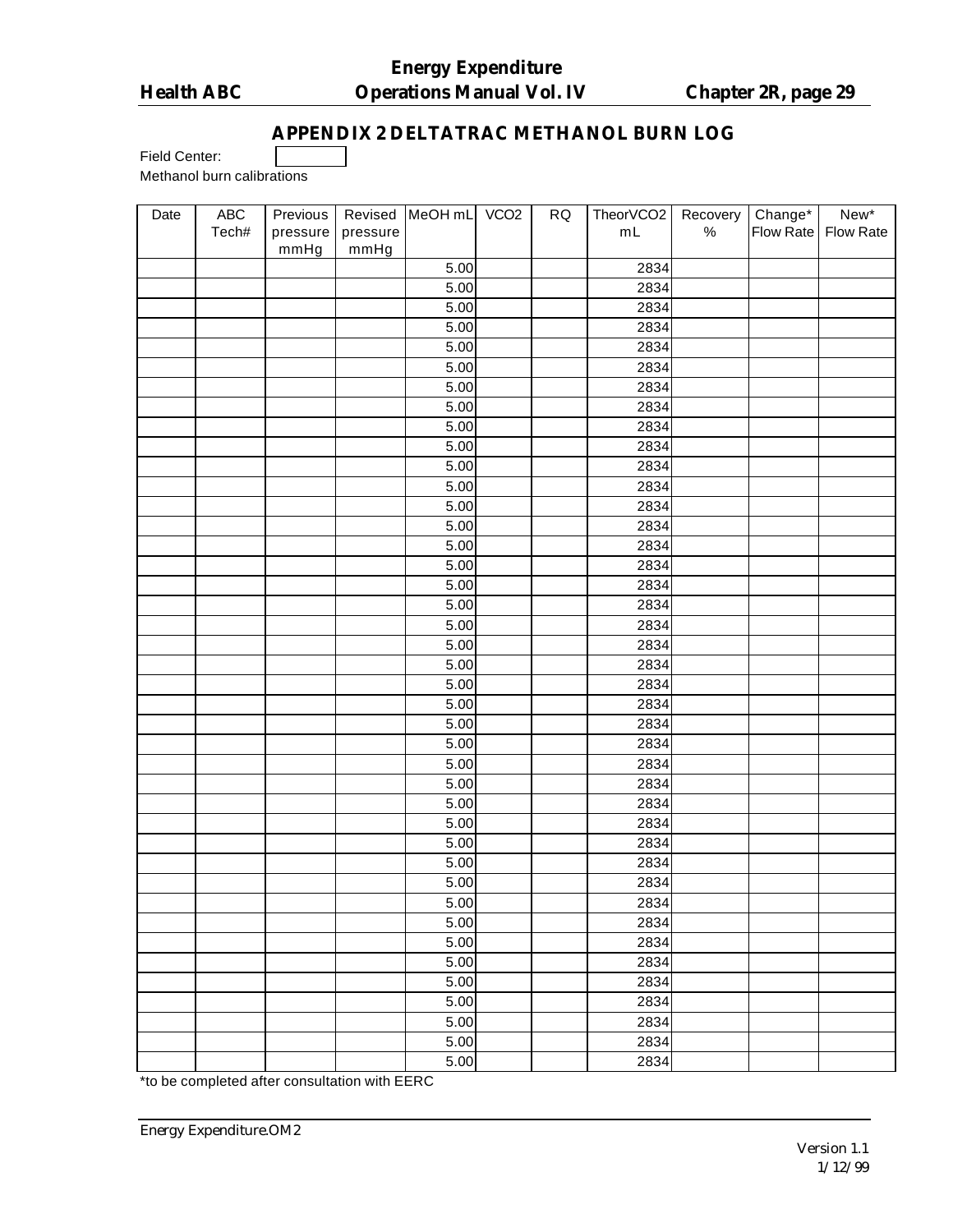# **APPENDIX 2 DELTATRAC METHANOL BURN LOG**

Field Center:

Methanol burn calibrations

| Date | ${\sf ABC}$ | Previous | Revised  | MeOH mL VCO2      | ${\sf RQ}$ | TheorVCO2         | Recovery | Change*   | New*      |
|------|-------------|----------|----------|-------------------|------------|-------------------|----------|-----------|-----------|
|      | Tech#       | pressure | pressure |                   |            | $m\mathsf{L}$     | $\%$     | Flow Rate | Flow Rate |
|      |             | mmHg     | mmHg     |                   |            |                   |          |           |           |
|      |             |          |          | 5.00              |            | 2834              |          |           |           |
|      |             |          |          | $\overline{5.00}$ |            | 2834              |          |           |           |
|      |             |          |          | 5.00              |            | 2834              |          |           |           |
|      |             |          |          | 5.00              |            | 2834              |          |           |           |
|      |             |          |          | 5.00              |            | 2834              |          |           |           |
|      |             |          |          | 5.00              |            | 2834              |          |           |           |
|      |             |          |          | 5.00              |            | 2834              |          |           |           |
|      |             |          |          | 5.00              |            | 2834              |          |           |           |
|      |             |          |          | 5.00              |            | 2834              |          |           |           |
|      |             |          |          | 5.00              |            | 2834              |          |           |           |
|      |             |          |          | 5.00              |            | 2834              |          |           |           |
|      |             |          |          | 5.00              |            | 2834              |          |           |           |
|      |             |          |          | 5.00              |            | 2834              |          |           |           |
|      |             |          |          | 5.00              |            | 2834              |          |           |           |
|      |             |          |          | 5.00              |            | 2834              |          |           |           |
|      |             |          |          | 5.00              |            | 2834              |          |           |           |
|      |             |          |          | 5.00              |            | 2834              |          |           |           |
|      |             |          |          | $\overline{5.00}$ |            | 2834              |          |           |           |
|      |             |          |          | 5.00              |            | 2834              |          |           |           |
|      |             |          |          | 5.00              |            | 2834              |          |           |           |
|      |             |          |          | 5.00              |            | 2834              |          |           |           |
|      |             |          |          | 5.00              |            | 2834              |          |           |           |
|      |             |          |          | 5.00              |            | 2834              |          |           |           |
|      |             |          |          | 5.00              |            | 2834              |          |           |           |
|      |             |          |          | 5.00              |            | 2834              |          |           |           |
|      |             |          |          | 5.00              |            | 2834              |          |           |           |
|      |             |          |          | 5.00              |            | $\overline{2834}$ |          |           |           |
|      |             |          |          | 5.00              |            | 2834              |          |           |           |
|      |             |          |          | 5.00              |            | 2834              |          |           |           |
|      |             |          |          | 5.00              |            | 2834              |          |           |           |
|      |             |          |          | 5.00              |            | 2834              |          |           |           |
|      |             |          |          | 5.00              |            | 2834              |          |           |           |
|      |             |          |          | $\overline{5.00}$ |            | 2834              |          |           |           |
|      |             |          |          | 5.00              |            | 2834              |          |           |           |
|      |             |          |          | 5.00              |            | 2834              |          |           |           |
|      |             |          |          | 5.00              |            | 2834              |          |           |           |
|      |             |          |          | 5.00              |            | 2834              |          |           |           |
|      |             |          |          | 5.00              |            | 2834              |          |           |           |
|      |             |          |          | 5.00              |            | 2834              |          |           |           |
|      |             |          |          | 5.00              |            | 2834              |          |           |           |
|      |             |          |          | 5.00              |            | 2834              |          |           |           |

\*to be completed after consultation with EERC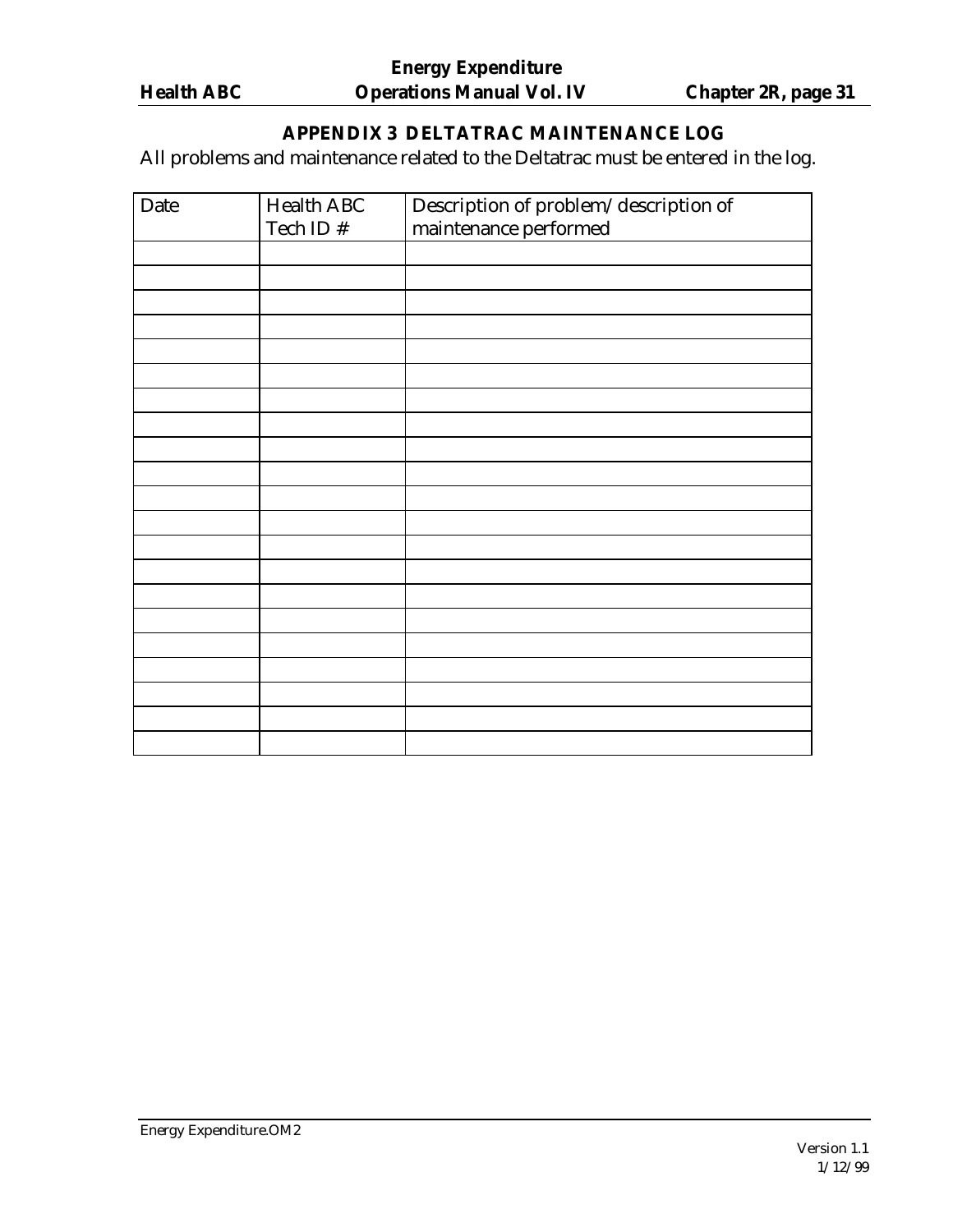# **APPENDIX 3 DELTATRAC MAINTENANCE LOG**

All problems and maintenance related to the Deltatrac must be entered in the log.

| Date | <b>Health ABC</b> | Description of problem/description of |
|------|-------------------|---------------------------------------|
|      | Tech ID #         | maintenance performed                 |
|      |                   |                                       |
|      |                   |                                       |
|      |                   |                                       |
|      |                   |                                       |
|      |                   |                                       |
|      |                   |                                       |
|      |                   |                                       |
|      |                   |                                       |
|      |                   |                                       |
|      |                   |                                       |
|      |                   |                                       |
|      |                   |                                       |
|      |                   |                                       |
|      |                   |                                       |
|      |                   |                                       |
|      |                   |                                       |
|      |                   |                                       |
|      |                   |                                       |
|      |                   |                                       |
|      |                   |                                       |
|      |                   |                                       |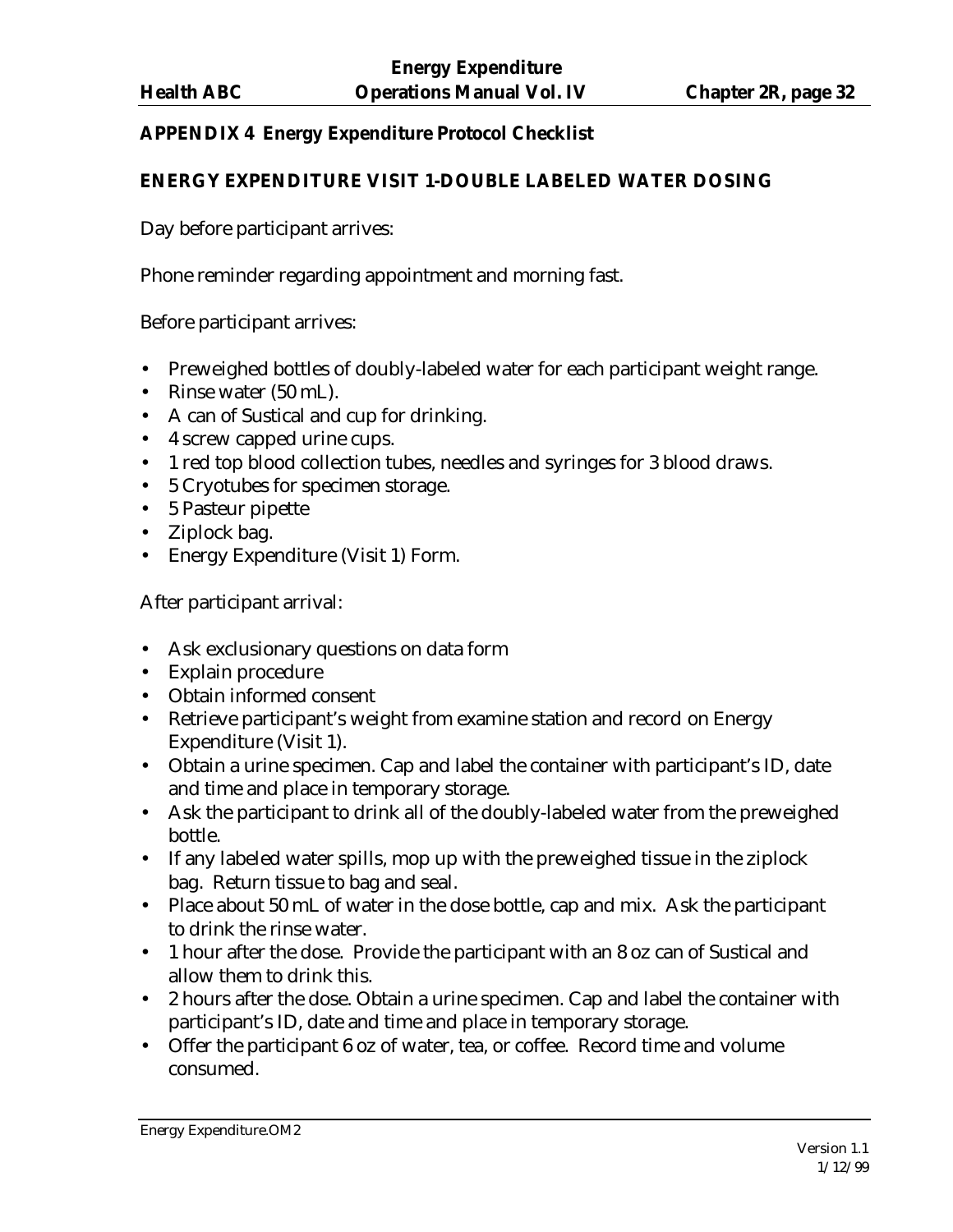## **APPENDIX 4 Energy Expenditure Protocol Checklist**

#### **ENERGY EXPENDITURE VISIT 1-DOUBLE LABELED WATER DOSING**

Day before participant arrives:

Phone reminder regarding appointment and morning fast.

Before participant arrives:

- Preweighed bottles of doubly-labeled water for each participant weight range.
- Rinse water (50 mL).
- A can of Sustical and cup for drinking.
- 4 screw capped urine cups.
- 1 red top blood collection tubes, needles and syringes for 3 blood draws.
- 5 Cryotubes for specimen storage.
- 5 Pasteur pipette
- Ziplock bag.
- Energy Expenditure (Visit 1) Form.

After participant arrival:

- Ask exclusionary questions on data form
- Explain procedure
- Obtain informed consent
- Retrieve participant's weight from examine station and record on Energy Expenditure (Visit 1).
- Obtain a urine specimen. Cap and label the container with participant's ID, date and time and place in temporary storage.
- Ask the participant to drink all of the doubly-labeled water from the preweighed bottle.
- If any labeled water spills, mop up with the preweighed tissue in the ziplock bag. Return tissue to bag and seal.
- Place about 50 mL of water in the dose bottle, cap and mix. Ask the participant to drink the rinse water.
- 1 hour after the dose. Provide the participant with an 8 oz can of Sustical and allow them to drink this.
- 2 hours after the dose. Obtain a urine specimen. Cap and label the container with participant's ID, date and time and place in temporary storage.
- Offer the participant 6 oz of water, tea, or coffee. Record time and volume consumed.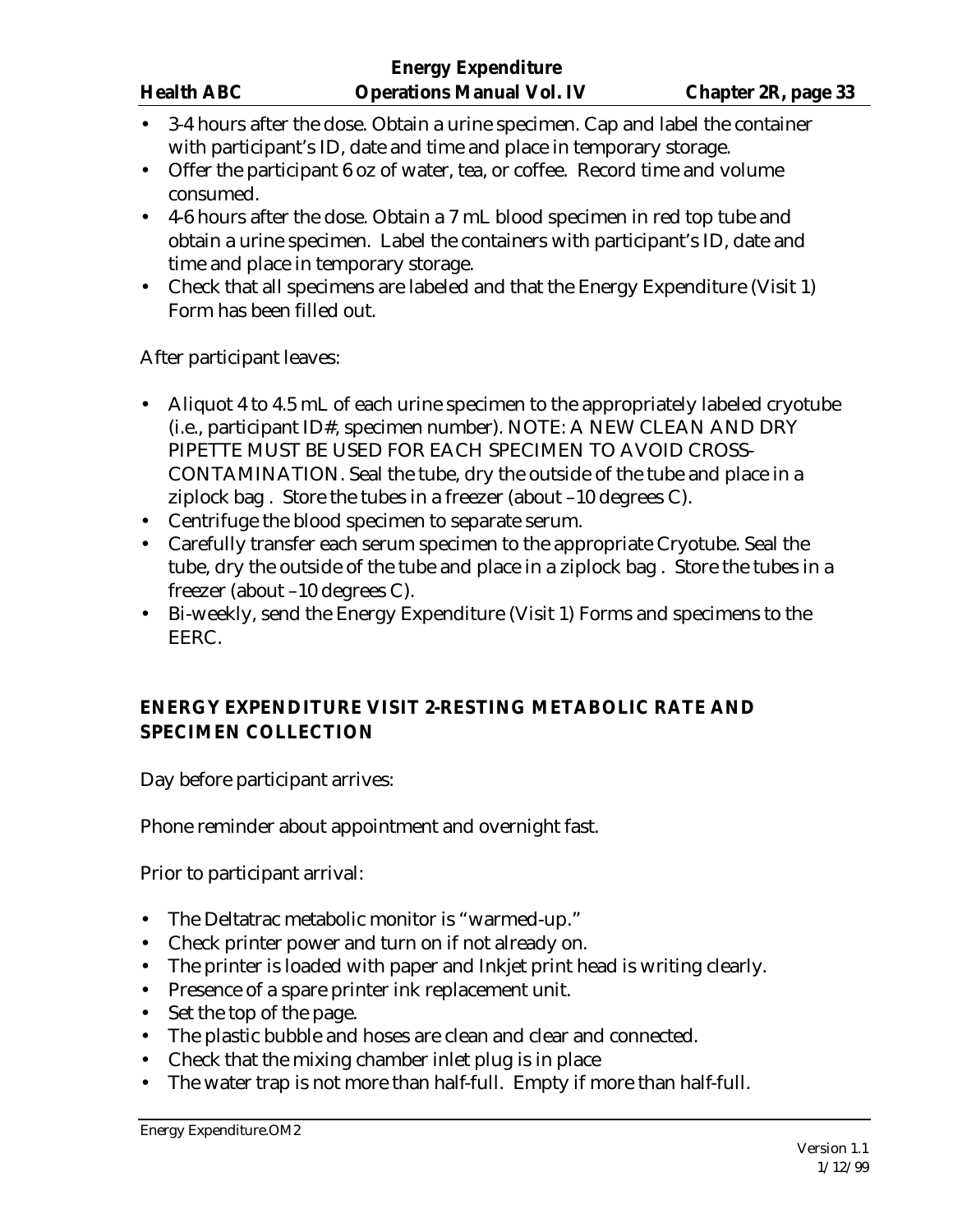- 3-4 hours after the dose. Obtain a urine specimen. Cap and label the container with participant's ID, date and time and place in temporary storage.
- Offer the participant 6 oz of water, tea, or coffee. Record time and volume consumed.
- 4-6 hours after the dose. Obtain a 7 mL blood specimen in red top tube and obtain a urine specimen. Label the containers with participant's ID, date and time and place in temporary storage.
- Check that all specimens are labeled and that the Energy Expenditure (Visit 1) Form has been filled out.

After participant leaves:

- Aliquot 4 to 4.5 mL of each urine specimen to the appropriately labeled cryotube (i.e., participant ID#, specimen number). NOTE: A NEW CLEAN AND DRY PIPETTE MUST BE USED FOR EACH SPECIMEN TO AVOID CROSS-CONTAMINATION. Seal the tube, dry the outside of the tube and place in a ziplock bag . Store the tubes in a freezer (about –10 degrees C).
- Centrifuge the blood specimen to separate serum.
- Carefully transfer each serum specimen to the appropriate Cryotube. Seal the tube, dry the outside of the tube and place in a ziplock bag . Store the tubes in a freezer (about –10 degrees C).
- Bi-weekly, send the Energy Expenditure (Visit 1) Forms and specimens to the EERC.

# **ENERGY EXPENDITURE VISIT 2-RESTING METABOLIC RATE AND SPECIMEN COLLECTION**

Day before participant arrives:

Phone reminder about appointment and overnight fast.

Prior to participant arrival:

- The Deltatrac metabolic monitor is "warmed-up."
- Check printer power and turn on if not already on.
- The printer is loaded with paper and Inkjet print head is writing clearly.
- Presence of a spare printer ink replacement unit.
- Set the top of the page.
- The plastic bubble and hoses are clean and clear and connected.
- Check that the mixing chamber inlet plug is in place
- The water trap is not more than half-full. Empty if more than half-full.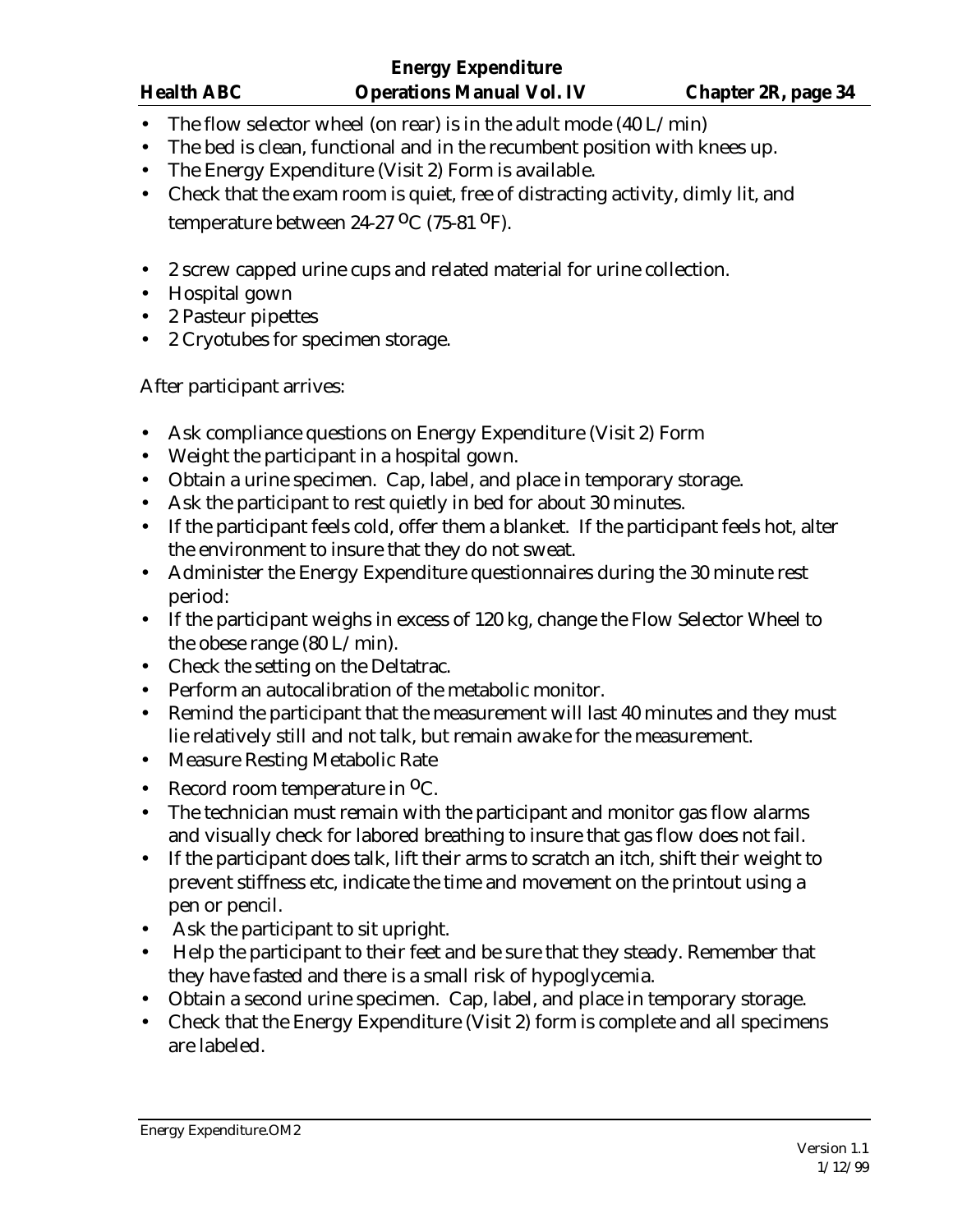- The flow selector wheel (on rear) is in the adult mode  $(40 L/min)$
- The bed is clean, functional and in the recumbent position with knees up.
- The Energy Expenditure (Visit 2) Form is available.
- Check that the exam room is quiet, free of distracting activity, dimly lit, and temperature between  $24-27$  <sup>O</sup>C (75-81 <sup>O</sup>F).
- 2 screw capped urine cups and related material for urine collection.
- Hospital gown
- 2 Pasteur pipettes
- 2 Cryotubes for specimen storage.

After participant arrives:

- Ask compliance questions on Energy Expenditure (Visit 2) Form
- Weight the participant in a hospital gown.
- Obtain a urine specimen. Cap, label, and place in temporary storage.
- Ask the participant to rest quietly in bed for about 30 minutes.
- If the participant feels cold, offer them a blanket. If the participant feels hot, alter the environment to insure that they do not sweat.
- Administer the Energy Expenditure questionnaires during the 30 minute rest period:
- If the participant weighs in excess of 120 kg, change the Flow Selector Wheel to the obese range (80 L/min).
- Check the setting on the Deltatrac.
- Perform an autocalibration of the metabolic monitor.
- Remind the participant that the measurement will last 40 minutes and they must lie relatively still and not talk, but remain awake for the measurement.
- Measure Resting Metabolic Rate
- Record room temperature in  ${}^{0}C$ .
- The technician must remain with the participant and monitor gas flow alarms and visually check for labored breathing to insure that gas flow does not fail.
- If the participant does talk, lift their arms to scratch an itch, shift their weight to prevent stiffness etc, indicate the time and movement on the printout using a pen or pencil.
- Ask the participant to sit upright.
- Help the participant to their feet and be sure that they steady. Remember that they have fasted and there is a small risk of hypoglycemia.
- Obtain a second urine specimen. Cap, label, and place in temporary storage.
- Check that the Energy Expenditure (Visit 2) form is complete and all specimens are labeled.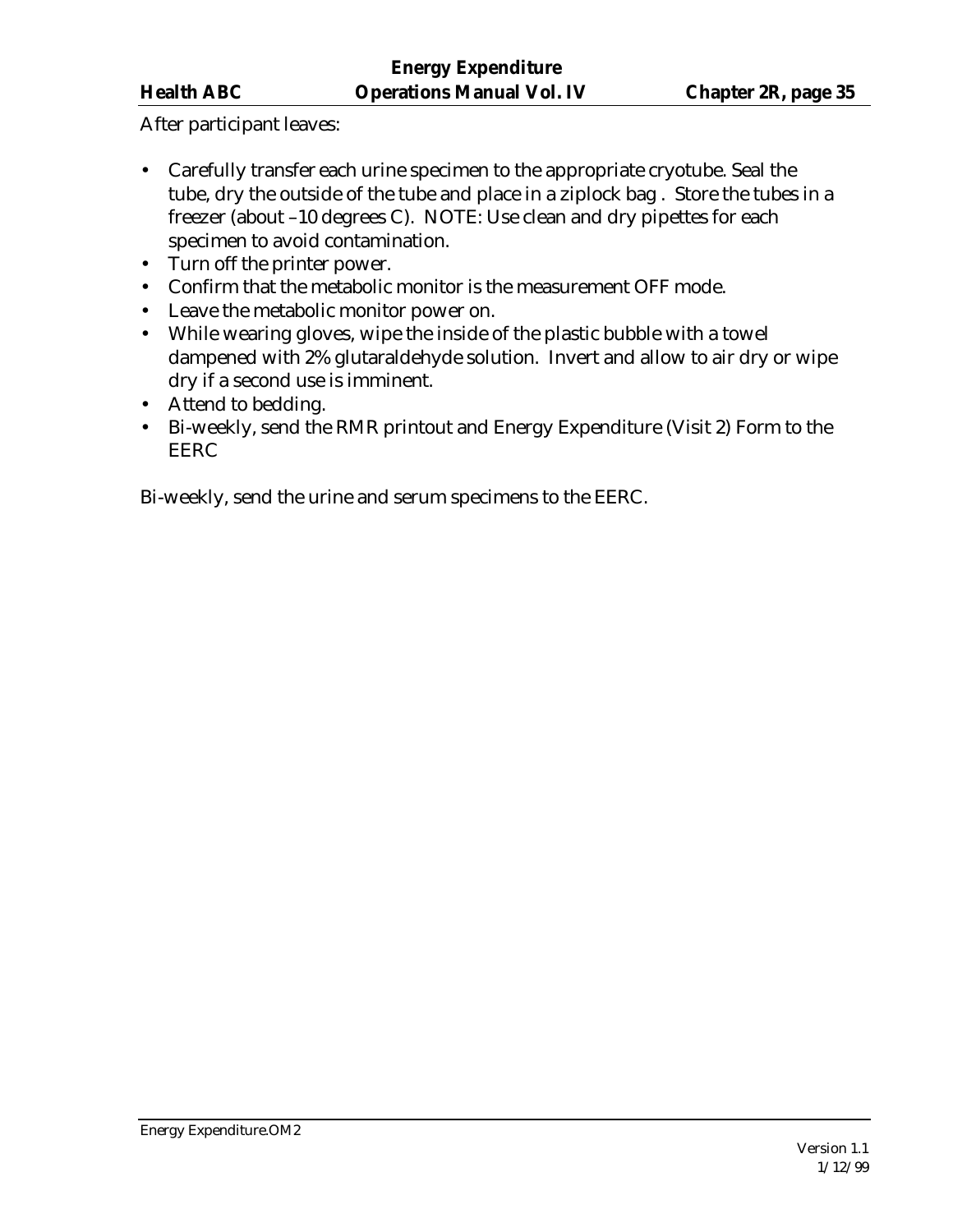After participant leaves:

- Carefully transfer each urine specimen to the appropriate cryotube. Seal the tube, dry the outside of the tube and place in a ziplock bag . Store the tubes in a freezer (about –10 degrees C). NOTE: Use clean and dry pipettes for each specimen to avoid contamination.
- Turn off the printer power.
- Confirm that the metabolic monitor is the measurement OFF mode.
- Leave the metabolic monitor power on.
- While wearing gloves, wipe the inside of the plastic bubble with a towel dampened with 2% glutaraldehyde solution. Invert and allow to air dry or wipe dry if a second use is imminent.
- Attend to bedding.
- Bi-weekly, send the RMR printout and Energy Expenditure (Visit 2) Form to the EERC

Bi-weekly, send the urine and serum specimens to the EERC.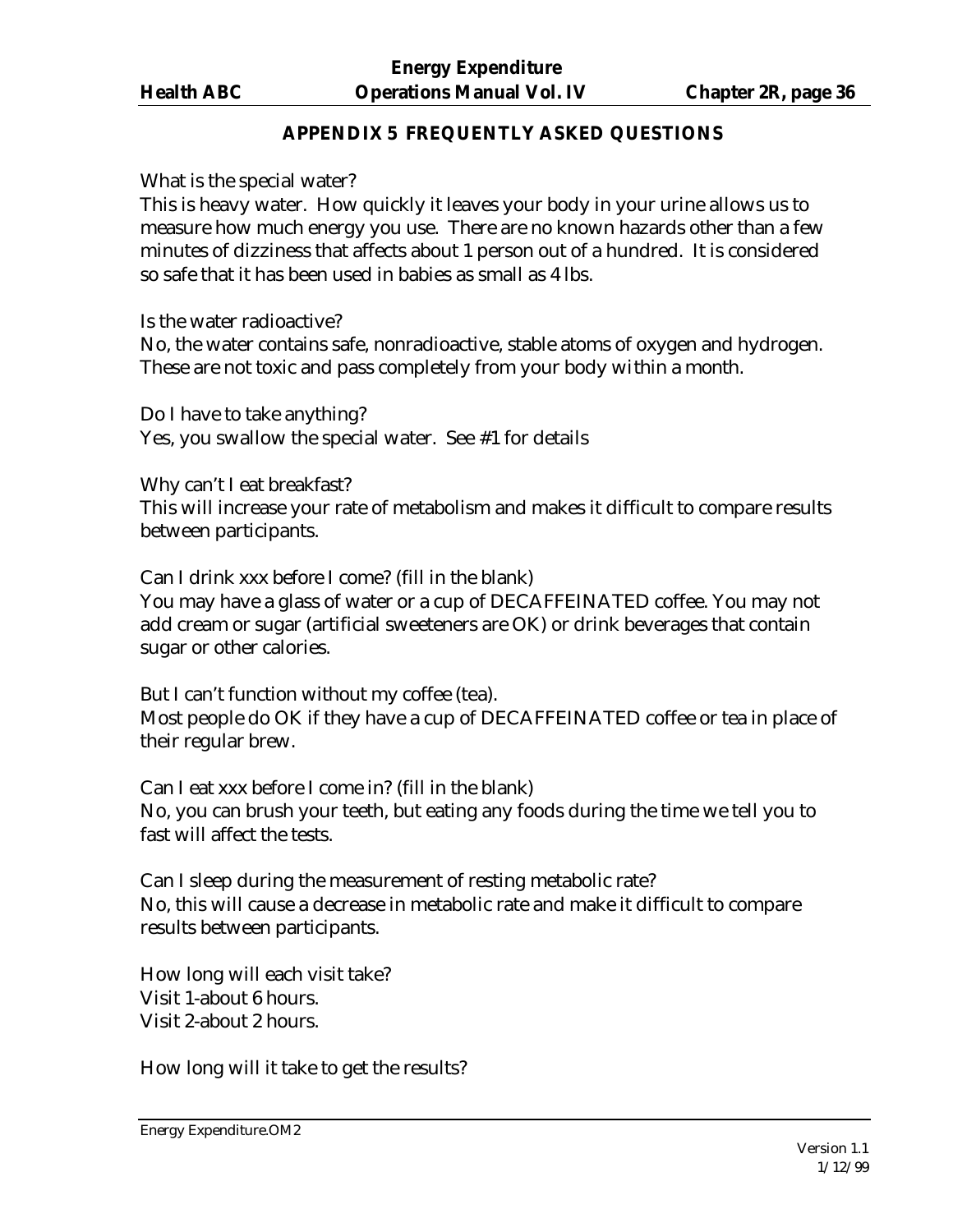#### **APPENDIX 5 FREQUENTLY ASKED QUESTIONS**

What is the special water?

This is heavy water. How quickly it leaves your body in your urine allows us to measure how much energy you use. There are no known hazards other than a few minutes of dizziness that affects about 1 person out of a hundred. It is considered so safe that it has been used in babies as small as 4 lbs.

Is the water radioactive?

No, the water contains safe, nonradioactive, stable atoms of oxygen and hydrogen. These are not toxic and pass completely from your body within a month.

Do I have to take anything? Yes, you swallow the special water. See #1 for details

Why can't I eat breakfast?

This will increase your rate of metabolism and makes it difficult to compare results between participants.

Can I drink xxx before I come? (fill in the blank) You may have a glass of water or a cup of DECAFFEINATED coffee. You may not add cream or sugar (artificial sweeteners are OK) or drink beverages that contain sugar or other calories.

But I can't function without my coffee (tea). Most people do OK if they have a cup of DECAFFEINATED coffee or tea in place of their regular brew.

Can I eat xxx before I come in? (fill in the blank) No, you can brush your teeth, but eating any foods during the time we tell you to fast will affect the tests.

Can I sleep during the measurement of resting metabolic rate? No, this will cause a decrease in metabolic rate and make it difficult to compare results between participants.

How long will each visit take? Visit 1-about 6 hours. Visit 2-about 2 hours.

How long will it take to get the results?